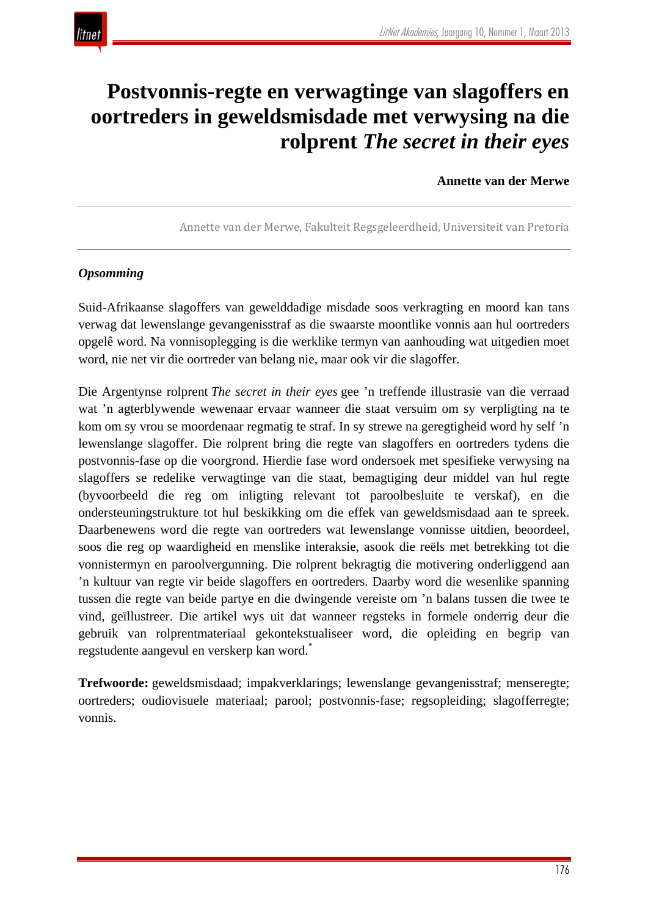

# **Postvonnis-regte en verwagtinge van slagoffers en oortreders in geweldsmisdade met verwysing na die rolprent** *The secret in their eyes*

**Annette van der Merwe**

Annette van der Merwe, Fakulteit Regsgeleerdheid, Universiteit van Pretoria

## *Opsomming*

Suid-Afrikaanse slagoffers van gewelddadige misdade soos verkragting en moord kan tans verwag dat lewenslange gevangenisstraf as die swaarste moontlike vonnis aan hul oortreders opgelê word. Na vonnisoplegging is die werklike termyn van aanhouding wat uitgedien moet word, nie net vir die oortreder van belang nie, maar ook vir die slagoffer.

Die Argentynse rolprent *The secret in their eyes* gee 'n treffende illustrasie van die verraad wat 'n agterblywende wewenaar ervaar wanneer die staat versuim om sy verpligting na te kom om sy vrou se moordenaar regmatig te straf. In sy strewe na geregtigheid word hy self 'n lewenslange slagoffer. Die rolprent bring die regte van slagoffers en oortreders tydens die postvonnis-fase op die voorgrond. Hierdie fase word ondersoek met spesifieke verwysing na slagoffers se redelike verwagtinge van die staat, bemagtiging deur middel van hul regte (byvoorbeeld die reg om inligting relevant tot paroolbesluite te verskaf), en die ondersteuningstrukture tot hul beskikking om die effek van geweldsmisdaad aan te spreek. Daarbenewens word die regte van oortreders wat lewenslange vonnisse uitdien, beoordeel, soos die reg op waardigheid en menslike interaksie, asook die reëls met betrekking tot die vonnistermyn en paroolvergunning. Die rolprent bekragtig die motivering onderliggend aan 'n kultuur van regte vir beide slagoffers en oortreders. Daarby word die wesenlike spanning tussen die regte van beide partye en die dwingende vereiste om 'n balans tussen die twee te vind, geïllustreer. Die artikel wys uit dat wanneer regsteks in formele onderrig deur die gebruik van rolprentmateriaal gekontekstualiseer word, die opleiding en begrip van regstudente aangevul en verskerp kan word.\*

**Trefwoorde:** geweldsmisdaad; impakverklarings; lewenslange gevangenisstraf; menseregte; oortreders; oudiovisuele materiaal; parool; postvonnis-fase; regsopleiding; slagofferregte; vonnis.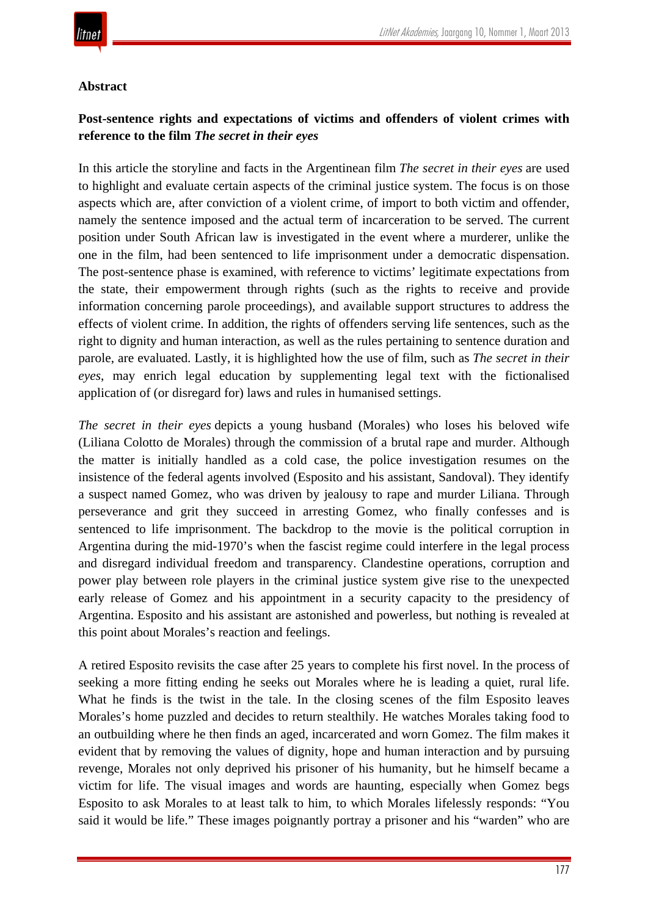

#### **Abstract**

# **Post-sentence rights and expectations of victims and offenders of violent crimes with reference to the film** *The secret in their eyes*

In this article the storyline and facts in the Argentinean film *The secret in their eyes* are used to highlight and evaluate certain aspects of the criminal justice system. The focus is on those aspects which are, after conviction of a violent crime, of import to both victim and offender, namely the sentence imposed and the actual term of incarceration to be served. The current position under South African law is investigated in the event where a murderer, unlike the one in the film, had been sentenced to life imprisonment under a democratic dispensation. The post-sentence phase is examined, with reference to victims' legitimate expectations from the state, their empowerment through rights (such as the rights to receive and provide information concerning parole proceedings), and available support structures to address the effects of violent crime. In addition, the rights of offenders serving life sentences, such as the right to dignity and human interaction, as well as the rules pertaining to sentence duration and parole, are evaluated. Lastly, it is highlighted how the use of film, such as *The secret in their eyes*, may enrich legal education by supplementing legal text with the fictionalised application of (or disregard for) laws and rules in humanised settings.

*The secret in their eyes* depicts a young husband (Morales) who loses his beloved wife (Liliana Colotto de Morales) through the commission of a brutal rape and murder. Although the matter is initially handled as a cold case, the police investigation resumes on the insistence of the federal agents involved (Esposito and his assistant, Sandoval). They identify a suspect named Gomez, who was driven by jealousy to rape and murder Liliana. Through perseverance and grit they succeed in arresting Gomez, who finally confesses and is sentenced to life imprisonment. The backdrop to the movie is the political corruption in Argentina during the mid-1970's when the fascist regime could interfere in the legal process and disregard individual freedom and transparency. Clandestine operations, corruption and power play between role players in the criminal justice system give rise to the unexpected early release of Gomez and his appointment in a security capacity to the presidency of Argentina. Esposito and his assistant are astonished and powerless, but nothing is revealed at this point about Morales's reaction and feelings.

A retired Esposito revisits the case after 25 years to complete his first novel. In the process of seeking a more fitting ending he seeks out Morales where he is leading a quiet, rural life. What he finds is the twist in the tale. In the closing scenes of the film Esposito leaves Morales's home puzzled and decides to return stealthily. He watches Morales taking food to an outbuilding where he then finds an aged, incarcerated and worn Gomez. The film makes it evident that by removing the values of dignity, hope and human interaction and by pursuing revenge, Morales not only deprived his prisoner of his humanity, but he himself became a victim for life. The visual images and words are haunting, especially when Gomez begs Esposito to ask Morales to at least talk to him, to which Morales lifelessly responds: "You said it would be life." These images poignantly portray a prisoner and his "warden" who are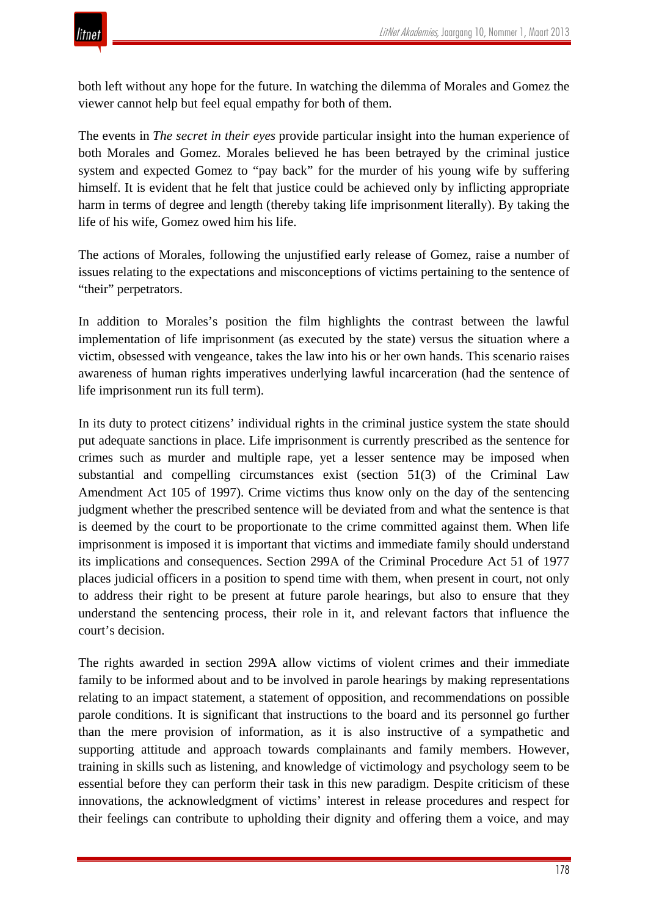both left without any hope for the future. In watching the dilemma of Morales and Gomez the viewer cannot help but feel equal empathy for both of them.

The events in *The secret in their eyes* provide particular insight into the human experience of both Morales and Gomez. Morales believed he has been betrayed by the criminal justice system and expected Gomez to "pay back" for the murder of his young wife by suffering himself. It is evident that he felt that justice could be achieved only by inflicting appropriate harm in terms of degree and length (thereby taking life imprisonment literally). By taking the life of his wife, Gomez owed him his life.

The actions of Morales, following the unjustified early release of Gomez, raise a number of issues relating to the expectations and misconceptions of victims pertaining to the sentence of "their" perpetrators.

In addition to Morales's position the film highlights the contrast between the lawful implementation of life imprisonment (as executed by the state) versus the situation where a victim, obsessed with vengeance, takes the law into his or her own hands. This scenario raises awareness of human rights imperatives underlying lawful incarceration (had the sentence of life imprisonment run its full term).

In its duty to protect citizens' individual rights in the criminal justice system the state should put adequate sanctions in place. Life imprisonment is currently prescribed as the sentence for crimes such as murder and multiple rape, yet a lesser sentence may be imposed when substantial and compelling circumstances exist (section 51(3) of the Criminal Law Amendment Act 105 of 1997). Crime victims thus know only on the day of the sentencing judgment whether the prescribed sentence will be deviated from and what the sentence is that is deemed by the court to be proportionate to the crime committed against them. When life imprisonment is imposed it is important that victims and immediate family should understand its implications and consequences. Section 299A of the Criminal Procedure Act 51 of 1977 places judicial officers in a position to spend time with them, when present in court, not only to address their right to be present at future parole hearings, but also to ensure that they understand the sentencing process, their role in it, and relevant factors that influence the court's decision.

The rights awarded in section 299A allow victims of violent crimes and their immediate family to be informed about and to be involved in parole hearings by making representations relating to an impact statement, a statement of opposition, and recommendations on possible parole conditions. It is significant that instructions to the board and its personnel go further than the mere provision of information, as it is also instructive of a sympathetic and supporting attitude and approach towards complainants and family members. However, training in skills such as listening, and knowledge of victimology and psychology seem to be essential before they can perform their task in this new paradigm. Despite criticism of these innovations, the acknowledgment of victims' interest in release procedures and respect for their feelings can contribute to upholding their dignity and offering them a voice, and may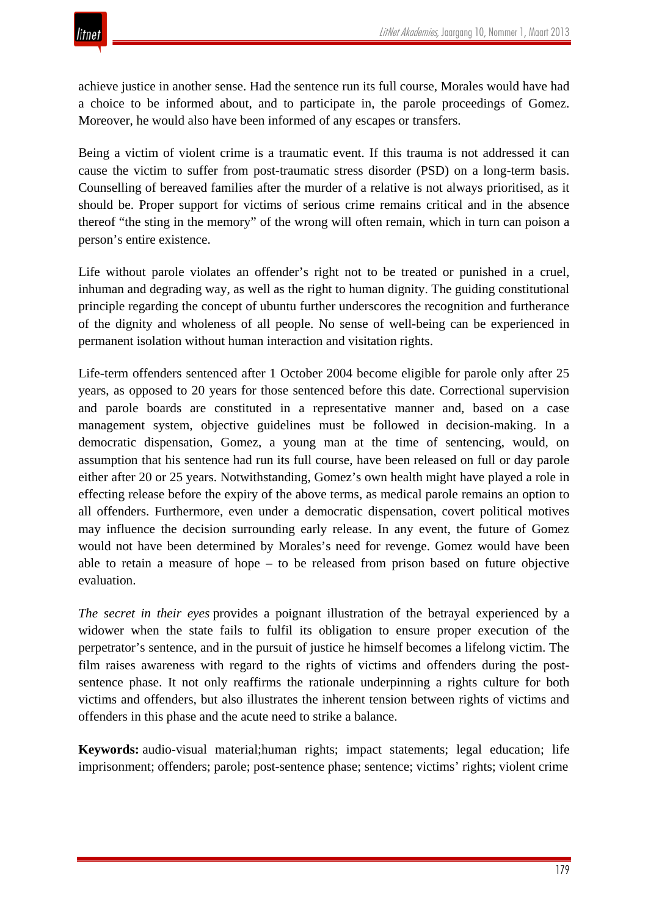

achieve justice in another sense. Had the sentence run its full course, Morales would have had a choice to be informed about, and to participate in, the parole proceedings of Gomez. Moreover, he would also have been informed of any escapes or transfers.

Being a victim of violent crime is a traumatic event. If this trauma is not addressed it can cause the victim to suffer from post-traumatic stress disorder (PSD) on a long-term basis. Counselling of bereaved families after the murder of a relative is not always prioritised, as it should be. Proper support for victims of serious crime remains critical and in the absence thereof "the sting in the memory" of the wrong will often remain, which in turn can poison a person's entire existence.

Life without parole violates an offender's right not to be treated or punished in a cruel, inhuman and degrading way, as well as the right to human dignity. The guiding constitutional principle regarding the concept of ubuntu further underscores the recognition and furtherance of the dignity and wholeness of all people. No sense of well-being can be experienced in permanent isolation without human interaction and visitation rights.

Life-term offenders sentenced after 1 October 2004 become eligible for parole only after 25 years, as opposed to 20 years for those sentenced before this date. Correctional supervision and parole boards are constituted in a representative manner and, based on a case management system, objective guidelines must be followed in decision-making. In a democratic dispensation, Gomez, a young man at the time of sentencing, would, on assumption that his sentence had run its full course, have been released on full or day parole either after 20 or 25 years. Notwithstanding, Gomez's own health might have played a role in effecting release before the expiry of the above terms, as medical parole remains an option to all offenders. Furthermore, even under a democratic dispensation, covert political motives may influence the decision surrounding early release. In any event, the future of Gomez would not have been determined by Morales's need for revenge. Gomez would have been able to retain a measure of hope – to be released from prison based on future objective evaluation.

*The secret in their eyes* provides a poignant illustration of the betrayal experienced by a widower when the state fails to fulfil its obligation to ensure proper execution of the perpetrator's sentence, and in the pursuit of justice he himself becomes a lifelong victim. The film raises awareness with regard to the rights of victims and offenders during the postsentence phase. It not only reaffirms the rationale underpinning a rights culture for both victims and offenders, but also illustrates the inherent tension between rights of victims and offenders in this phase and the acute need to strike a balance.

**Keywords:** audio-visual material;human rights; impact statements; legal education; life imprisonment; offenders; parole; post-sentence phase; sentence; victims' rights; violent crime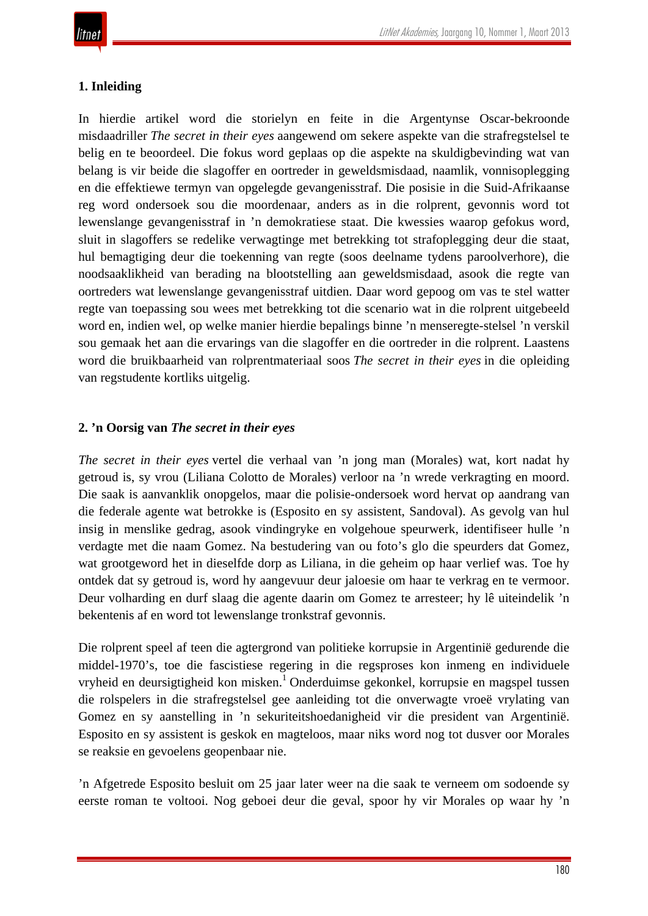# **1. Inleiding**

In hierdie artikel word die storielyn en feite in die Argentynse Oscar-bekroonde misdaadriller *The secret in their eyes* aangewend om sekere aspekte van die strafregstelsel te belig en te beoordeel. Die fokus word geplaas op die aspekte na skuldigbevinding wat van belang is vir beide die slagoffer en oortreder in geweldsmisdaad, naamlik, vonnisoplegging en die effektiewe termyn van opgelegde gevangenisstraf. Die posisie in die Suid-Afrikaanse reg word ondersoek sou die moordenaar, anders as in die rolprent, gevonnis word tot lewenslange gevangenisstraf in 'n demokratiese staat. Die kwessies waarop gefokus word, sluit in slagoffers se redelike verwagtinge met betrekking tot strafoplegging deur die staat, hul bemagtiging deur die toekenning van regte (soos deelname tydens paroolverhore), die noodsaaklikheid van berading na blootstelling aan geweldsmisdaad, asook die regte van oortreders wat lewenslange gevangenisstraf uitdien. Daar word gepoog om vas te stel watter regte van toepassing sou wees met betrekking tot die scenario wat in die rolprent uitgebeeld word en, indien wel, op welke manier hierdie bepalings binne 'n menseregte-stelsel 'n verskil sou gemaak het aan die ervarings van die slagoffer en die oortreder in die rolprent. Laastens word die bruikbaarheid van rolprentmateriaal soos *The secret in their eyes* in die opleiding van regstudente kortliks uitgelig.

# **2. 'n Oorsig van** *The secret in their eyes*

*The secret in their eyes* vertel die verhaal van 'n jong man (Morales) wat, kort nadat hy getroud is, sy vrou (Liliana Colotto de Morales) verloor na 'n wrede verkragting en moord. Die saak is aanvanklik onopgelos, maar die polisie-ondersoek word hervat op aandrang van die federale agente wat betrokke is (Esposito en sy assistent, Sandoval). As gevolg van hul insig in menslike gedrag, asook vindingryke en volgehoue speurwerk, identifiseer hulle 'n verdagte met die naam Gomez. Na bestudering van ou foto's glo die speurders dat Gomez, wat grootgeword het in dieselfde dorp as Liliana, in die geheim op haar verlief was. Toe hy ontdek dat sy getroud is, word hy aangevuur deur jaloesie om haar te verkrag en te vermoor. Deur volharding en durf slaag die agente daarin om Gomez te arresteer; hy lê uiteindelik 'n bekentenis af en word tot lewenslange tronkstraf gevonnis.

Die rolprent speel af teen die agtergrond van politieke korrupsie in Argentinië gedurende die middel-1970's, toe die fascistiese regering in die regsproses kon inmeng en individuele vryheid en deursigtigheid kon misken.<sup>1</sup> Onderduimse gekonkel, korrupsie en magspel tussen die rolspelers in die strafregstelsel gee aanleiding tot die onverwagte vroeë vrylating van Gomez en sy aanstelling in 'n sekuriteitshoedanigheid vir die president van Argentinië. Esposito en sy assistent is geskok en magteloos, maar niks word nog tot dusver oor Morales se reaksie en gevoelens geopenbaar nie.

'n Afgetrede Esposito besluit om 25 jaar later weer na die saak te verneem om sodoende sy eerste roman te voltooi. Nog geboei deur die geval, spoor hy vir Morales op waar hy 'n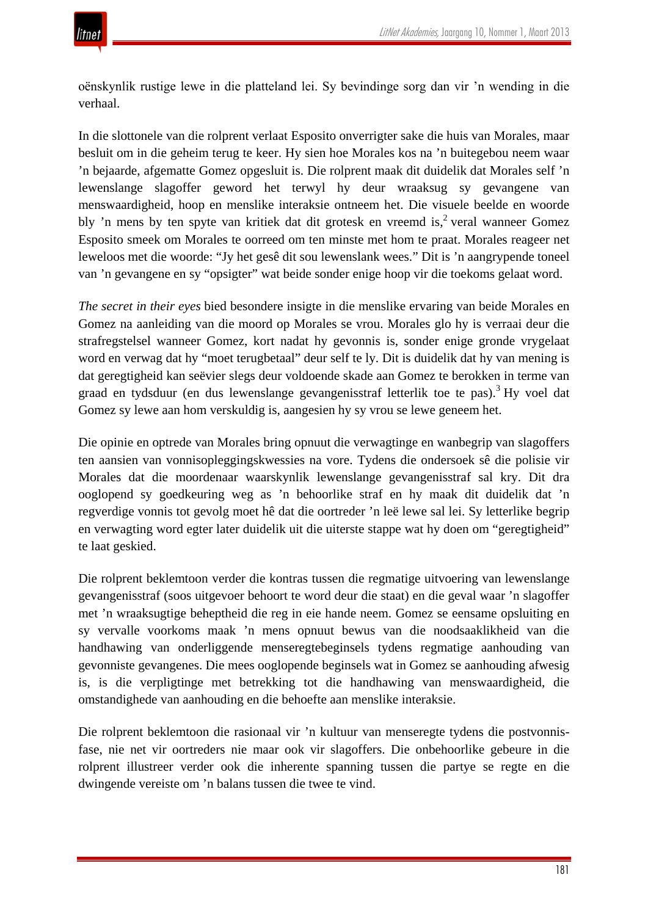oёnskynlik rustige lewe in die platteland lei. Sy bevindinge sorg dan vir 'n wending in die verhaal.

In die slottonele van die rolprent verlaat Esposito onverrigter sake die huis van Morales, maar besluit om in die geheim terug te keer. Hy sien hoe Morales kos na 'n buitegebou neem waar 'n bejaarde, afgematte Gomez opgesluit is. Die rolprent maak dit duidelik dat Morales self 'n lewenslange slagoffer geword het terwyl hy deur wraaksug sy gevangene van menswaardigheid, hoop en menslike interaksie ontneem het. Die visuele beelde en woorde bly 'n mens by ten spyte van kritiek dat dit grotesk en vreemd is,<sup>2</sup> veral wanneer Gomez Esposito smeek om Morales te oorreed om ten minste met hom te praat. Morales reageer net leweloos met die woorde: "Jy het gesê dit sou lewenslank wees." Dit is 'n aangrypende toneel van 'n gevangene en sy "opsigter" wat beide sonder enige hoop vir die toekoms gelaat word.

*The secret in their eyes* bied besondere insigte in die menslike ervaring van beide Morales en Gomez na aanleiding van die moord op Morales se vrou. Morales glo hy is verraai deur die strafregstelsel wanneer Gomez, kort nadat hy gevonnis is, sonder enige gronde vrygelaat word en verwag dat hy "moet terugbetaal" deur self te ly. Dit is duidelik dat hy van mening is dat geregtigheid kan seëvier slegs deur voldoende skade aan Gomez te berokken in terme van graad en tydsduur (en dus lewenslange gevangenisstraf letterlik toe te pas).<sup>3</sup> Hy voel dat Gomez sy lewe aan hom verskuldig is, aangesien hy sy vrou se lewe geneem het.

Die opinie en optrede van Morales bring opnuut die verwagtinge en wanbegrip van slagoffers ten aansien van vonnisopleggingskwessies na vore. Tydens die ondersoek sê die polisie vir Morales dat die moordenaar waarskynlik lewenslange gevangenisstraf sal kry. Dit dra ooglopend sy goedkeuring weg as 'n behoorlike straf en hy maak dit duidelik dat 'n regverdige vonnis tot gevolg moet hê dat die oortreder 'n leë lewe sal lei. Sy letterlike begrip en verwagting word egter later duidelik uit die uiterste stappe wat hy doen om "geregtigheid" te laat geskied.

Die rolprent beklemtoon verder die kontras tussen die regmatige uitvoering van lewenslange gevangenisstraf (soos uitgevoer behoort te word deur die staat) en die geval waar 'n slagoffer met 'n wraaksugtige beheptheid die reg in eie hande neem. Gomez se eensame opsluiting en sy vervalle voorkoms maak 'n mens opnuut bewus van die noodsaaklikheid van die handhawing van onderliggende menseregtebeginsels tydens regmatige aanhouding van gevonniste gevangenes. Die mees ooglopende beginsels wat in Gomez se aanhouding afwesig is, is die verpligtinge met betrekking tot die handhawing van menswaardigheid, die omstandighede van aanhouding en die behoefte aan menslike interaksie.

Die rolprent beklemtoon die rasionaal vir 'n kultuur van menseregte tydens die postvonnisfase, nie net vir oortreders nie maar ook vir slagoffers. Die onbehoorlike gebeure in die rolprent illustreer verder ook die inherente spanning tussen die partye se regte en die dwingende vereiste om 'n balans tussen die twee te vind.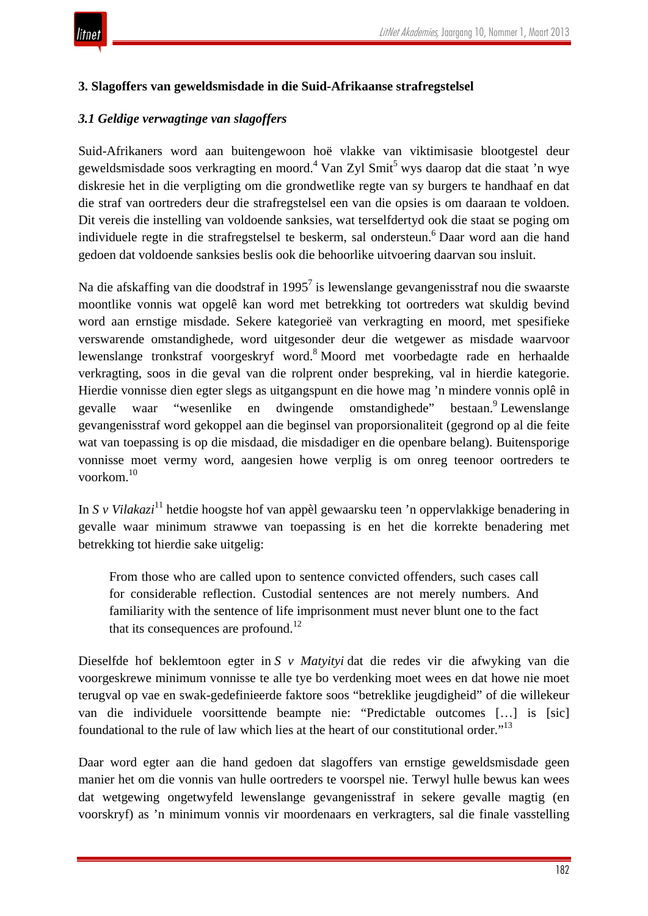

## **3. Slagoffers van geweldsmisdade in die Suid-Afrikaanse strafregstelsel**

## *3.1 Geldige verwagtinge van slagoffers*

Suid-Afrikaners word aan buitengewoon hoë vlakke van viktimisasie blootgestel deur geweldsmisdade soos verkragting en moord.<sup>4</sup> Van Zyl Smit<sup>5</sup> wys daarop dat die staat 'n wye diskresie het in die verpligting om die grondwetlike regte van sy burgers te handhaaf en dat die straf van oortreders deur die strafregstelsel een van die opsies is om daaraan te voldoen. Dit vereis die instelling van voldoende sanksies, wat terselfdertyd ook die staat se poging om individuele regte in die strafregstelsel te beskerm, sal ondersteun.<sup>6</sup> Daar word aan die hand gedoen dat voldoende sanksies beslis ook die behoorlike uitvoering daarvan sou insluit.

Na die afskaffing van die doodstraf in 1995<sup>7</sup> is lewenslange gevangenisstraf nou die swaarste moontlike vonnis wat opgelê kan word met betrekking tot oortreders wat skuldig bevind word aan ernstige misdade. Sekere kategorieë van verkragting en moord, met spesifieke verswarende omstandighede, word uitgesonder deur die wetgewer as misdade waarvoor lewenslange tronkstraf voorgeskryf word.8 Moord met voorbedagte rade en herhaalde verkragting, soos in die geval van die rolprent onder bespreking, val in hierdie kategorie. Hierdie vonnisse dien egter slegs as uitgangspunt en die howe mag 'n mindere vonnis oplê in gevalle waar "wesenlike en dwingende omstandighede" bestaan. Lewenslange gevangenisstraf word gekoppel aan die beginsel van proporsionaliteit (gegrond op al die feite wat van toepassing is op die misdaad, die misdadiger en die openbare belang). Buitensporige vonnisse moet vermy word, aangesien howe verplig is om onreg teenoor oortreders te voorkom.10

In *S v Vilakazi*<sup>11</sup> hetdie hoogste hof van appèl gewaarsku teen 'n oppervlakkige benadering in gevalle waar minimum strawwe van toepassing is en het die korrekte benadering met betrekking tot hierdie sake uitgelig:

From those who are called upon to sentence convicted offenders, such cases call for considerable reflection. Custodial sentences are not merely numbers. And familiarity with the sentence of life imprisonment must never blunt one to the fact that its consequences are profound. $12$ 

Dieselfde hof beklemtoon egter in *S v Matyityi* dat die redes vir die afwyking van die voorgeskrewe minimum vonnisse te alle tye bo verdenking moet wees en dat howe nie moet terugval op vae en swak-gedefinieerde faktore soos "betreklike jeugdigheid" of die willekeur van die individuele voorsittende beampte nie: "Predictable outcomes […] is [sic] foundational to the rule of law which lies at the heart of our constitutional order."13

Daar word egter aan die hand gedoen dat slagoffers van ernstige geweldsmisdade geen manier het om die vonnis van hulle oortreders te voorspel nie. Terwyl hulle bewus kan wees dat wetgewing ongetwyfeld lewenslange gevangenisstraf in sekere gevalle magtig (en voorskryf) as 'n minimum vonnis vir moordenaars en verkragters, sal die finale vasstelling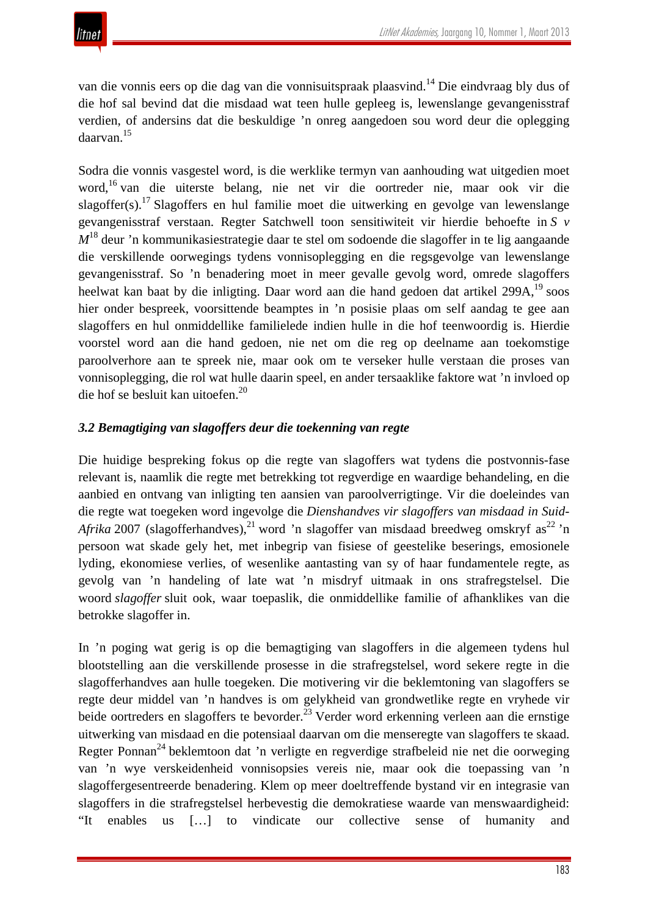van die vonnis eers op die dag van die vonnisuitspraak plaasvind.<sup>14</sup> Die eindvraag bly dus of die hof sal bevind dat die misdaad wat teen hulle gepleeg is, lewenslange gevangenisstraf verdien, of andersins dat die beskuldige 'n onreg aangedoen sou word deur die oplegging daarvan.<sup>15</sup>

Sodra die vonnis vasgestel word, is die werklike termyn van aanhouding wat uitgedien moet word,16 van die uiterste belang, nie net vir die oortreder nie, maar ook vir die slagoffer(s).17 Slagoffers en hul familie moet die uitwerking en gevolge van lewenslange gevangenisstraf verstaan. Regter Satchwell toon sensitiwiteit vir hierdie behoefte in *S v M*<sup>18</sup> deur 'n kommunikasiestrategie daar te stel om sodoende die slagoffer in te lig aangaande die verskillende oorwegings tydens vonnisoplegging en die regsgevolge van lewenslange gevangenisstraf. So 'n benadering moet in meer gevalle gevolg word, omrede slagoffers heelwat kan baat by die inligting. Daar word aan die hand gedoen dat artikel 299A, <sup>19</sup> soos hier onder bespreek, voorsittende beamptes in 'n posisie plaas om self aandag te gee aan slagoffers en hul onmiddellike familielede indien hulle in die hof teenwoordig is. Hierdie voorstel word aan die hand gedoen, nie net om die reg op deelname aan toekomstige paroolverhore aan te spreek nie, maar ook om te verseker hulle verstaan die proses van vonnisoplegging, die rol wat hulle daarin speel, en ander tersaaklike faktore wat 'n invloed op die hof se besluit kan uitoefen.20

# *3.2 Bemagtiging van slagoffers deur die toekenning van regte*

Die huidige bespreking fokus op die regte van slagoffers wat tydens die postvonnis-fase relevant is, naamlik die regte met betrekking tot regverdige en waardige behandeling, en die aanbied en ontvang van inligting ten aansien van paroolverrigtinge. Vir die doeleindes van die regte wat toegeken word ingevolge die *Dienshandves vir slagoffers van misdaad in Suid-Afrika* 2007 (slagofferhandves),<sup>21</sup> word 'n slagoffer van misdaad breedweg omskryf as<sup>22</sup> 'n persoon wat skade gely het, met inbegrip van fisiese of geestelike beserings, emosionele lyding, ekonomiese verlies, of wesenlike aantasting van sy of haar fundamentele regte, as gevolg van 'n handeling of late wat 'n misdryf uitmaak in ons strafregstelsel. Die woord *slagoffer* sluit ook, waar toepaslik, die onmiddellike familie of afhanklikes van die betrokke slagoffer in.

In 'n poging wat gerig is op die bemagtiging van slagoffers in die algemeen tydens hul blootstelling aan die verskillende prosesse in die strafregstelsel, word sekere regte in die slagofferhandves aan hulle toegeken. Die motivering vir die beklemtoning van slagoffers se regte deur middel van 'n handves is om gelykheid van grondwetlike regte en vryhede vir beide oortreders en slagoffers te bevorder.<sup>23</sup> Verder word erkenning verleen aan die ernstige uitwerking van misdaad en die potensiaal daarvan om die menseregte van slagoffers te skaad. Regter Ponnan<sup>24</sup> beklemtoon dat 'n verligte en regverdige strafbeleid nie net die oorweging van 'n wye verskeidenheid vonnisopsies vereis nie, maar ook die toepassing van 'n slagoffergesentreerde benadering. Klem op meer doeltreffende bystand vir en integrasie van slagoffers in die strafregstelsel herbevestig die demokratiese waarde van menswaardigheid: "It enables us […] to vindicate our collective sense of humanity and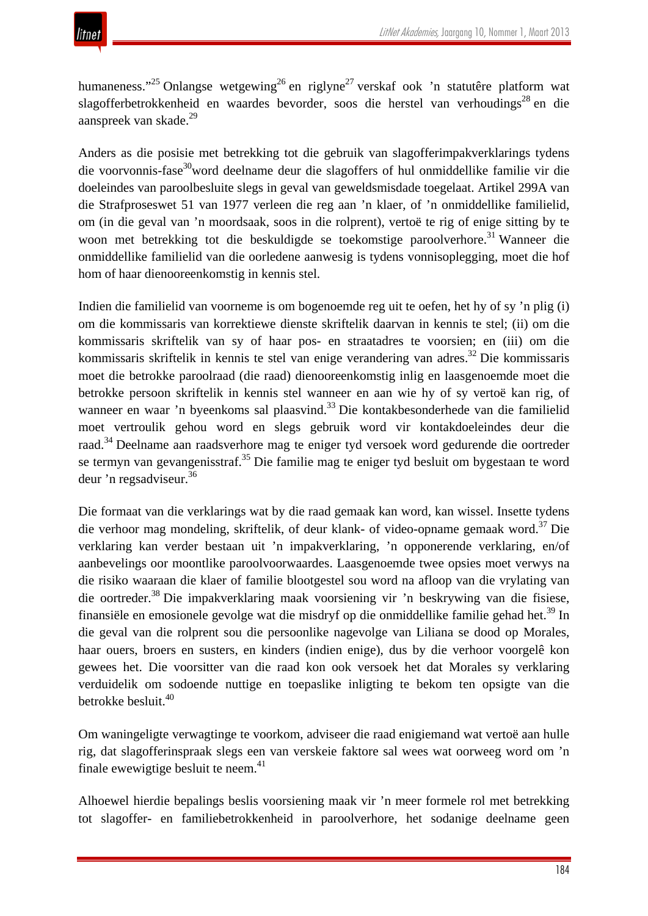humaneness."<sup>25</sup> Onlangse wetgewing<sup>26</sup> en riglyne<sup>27</sup> verskaf ook 'n statutêre platform wat slagofferbetrokkenheid en waardes bevorder, soos die herstel van verhoudings<sup>28</sup> en die aanspreek van skade.29

Anders as die posisie met betrekking tot die gebruik van slagofferimpakverklarings tydens die voorvonnis-fase<sup>30</sup>word deelname deur die slagoffers of hul onmiddellike familie vir die doeleindes van paroolbesluite slegs in geval van geweldsmisdade toegelaat. Artikel 299A van die Strafproseswet 51 van 1977 verleen die reg aan 'n klaer, of 'n onmiddellike familielid, om (in die geval van 'n moordsaak, soos in die rolprent), vertoë te rig of enige sitting by te woon met betrekking tot die beskuldigde se toekomstige paroolverhore.<sup>31</sup> Wanneer die onmiddellike familielid van die oorledene aanwesig is tydens vonnisoplegging, moet die hof hom of haar dienooreenkomstig in kennis stel.

Indien die familielid van voorneme is om bogenoemde reg uit te oefen, het hy of sy 'n plig (i) om die kommissaris van korrektiewe dienste skriftelik daarvan in kennis te stel; (ii) om die kommissaris skriftelik van sy of haar pos- en straatadres te voorsien; en (iii) om die kommissaris skriftelik in kennis te stel van enige verandering van adres.<sup>32</sup> Die kommissaris moet die betrokke paroolraad (die raad) dienooreenkomstig inlig en laasgenoemde moet die betrokke persoon skriftelik in kennis stel wanneer en aan wie hy of sy vertoë kan rig, of wanneer en waar 'n byeenkoms sal plaasvind.<sup>33</sup> Die kontakbesonderhede van die familielid moet vertroulik gehou word en slegs gebruik word vir kontakdoeleindes deur die raad.34 Deelname aan raadsverhore mag te eniger tyd versoek word gedurende die oortreder se termyn van gevangenisstraf.<sup>35</sup> Die familie mag te eniger tyd besluit om bygestaan te word deur 'n regsadviseur.<sup>36</sup>

Die formaat van die verklarings wat by die raad gemaak kan word, kan wissel. Insette tydens die verhoor mag mondeling, skriftelik, of deur klank- of video-opname gemaak word.<sup>37</sup> Die verklaring kan verder bestaan uit 'n impakverklaring, 'n opponerende verklaring, en/of aanbevelings oor moontlike paroolvoorwaardes. Laasgenoemde twee opsies moet verwys na die risiko waaraan die klaer of familie blootgestel sou word na afloop van die vrylating van die oortreder.<sup>38</sup> Die impakverklaring maak voorsiening vir 'n beskrywing van die fisiese, finansiële en emosionele gevolge wat die misdryf op die onmiddellike familie gehad het.<sup>39</sup> In die geval van die rolprent sou die persoonlike nagevolge van Liliana se dood op Morales, haar ouers, broers en susters, en kinders (indien enige), dus by die verhoor voorgelê kon gewees het. Die voorsitter van die raad kon ook versoek het dat Morales sy verklaring verduidelik om sodoende nuttige en toepaslike inligting te bekom ten opsigte van die betrokke besluit.<sup>40</sup>

Om waningeligte verwagtinge te voorkom, adviseer die raad enigiemand wat vertoë aan hulle rig, dat slagofferinspraak slegs een van verskeie faktore sal wees wat oorweeg word om 'n finale ewewigtige besluit te neem. $41$ 

Alhoewel hierdie bepalings beslis voorsiening maak vir 'n meer formele rol met betrekking tot slagoffer- en familiebetrokkenheid in paroolverhore, het sodanige deelname geen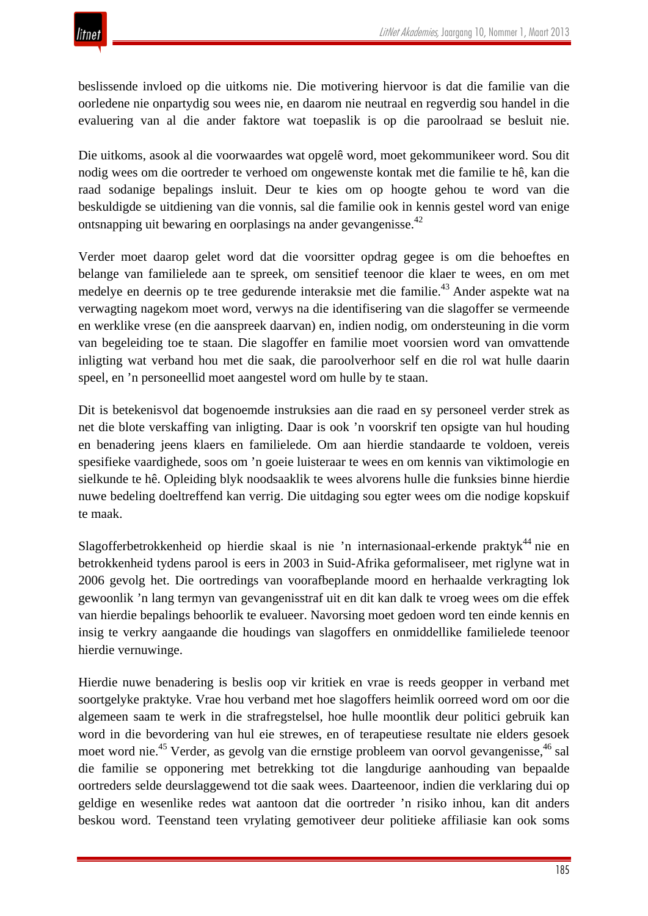

beslissende invloed op die uitkoms nie. Die motivering hiervoor is dat die familie van die oorledene nie onpartydig sou wees nie, en daarom nie neutraal en regverdig sou handel in die evaluering van al die ander faktore wat toepaslik is op die paroolraad se besluit nie.

Die uitkoms, asook al die voorwaardes wat opgelê word, moet gekommunikeer word. Sou dit nodig wees om die oortreder te verhoed om ongewenste kontak met die familie te hê, kan die raad sodanige bepalings insluit. Deur te kies om op hoogte gehou te word van die beskuldigde se uitdiening van die vonnis, sal die familie ook in kennis gestel word van enige ontsnapping uit bewaring en oorplasings na ander gevangenisse.42

Verder moet daarop gelet word dat die voorsitter opdrag gegee is om die behoeftes en belange van familielede aan te spreek, om sensitief teenoor die klaer te wees, en om met medelye en deernis op te tree gedurende interaksie met die familie.<sup>43</sup> Ander aspekte wat na verwagting nagekom moet word, verwys na die identifisering van die slagoffer se vermeende en werklike vrese (en die aanspreek daarvan) en, indien nodig, om ondersteuning in die vorm van begeleiding toe te staan. Die slagoffer en familie moet voorsien word van omvattende inligting wat verband hou met die saak, die paroolverhoor self en die rol wat hulle daarin speel, en 'n personeellid moet aangestel word om hulle by te staan.

Dit is betekenisvol dat bogenoemde instruksies aan die raad en sy personeel verder strek as net die blote verskaffing van inligting. Daar is ook 'n voorskrif ten opsigte van hul houding en benadering jeens klaers en familielede. Om aan hierdie standaarde te voldoen, vereis spesifieke vaardighede, soos om 'n goeie luisteraar te wees en om kennis van viktimologie en sielkunde te hê. Opleiding blyk noodsaaklik te wees alvorens hulle die funksies binne hierdie nuwe bedeling doeltreffend kan verrig. Die uitdaging sou egter wees om die nodige kopskuif te maak.

Slagofferbetrokkenheid op hierdie skaal is nie 'n internasionaal-erkende praktyk<sup>44</sup> nie en betrokkenheid tydens parool is eers in 2003 in Suid-Afrika geformaliseer, met riglyne wat in 2006 gevolg het. Die oortredings van voorafbeplande moord en herhaalde verkragting lok gewoonlik 'n lang termyn van gevangenisstraf uit en dit kan dalk te vroeg wees om die effek van hierdie bepalings behoorlik te evalueer. Navorsing moet gedoen word ten einde kennis en insig te verkry aangaande die houdings van slagoffers en onmiddellike familielede teenoor hierdie vernuwinge.

Hierdie nuwe benadering is beslis oop vir kritiek en vrae is reeds geopper in verband met soortgelyke praktyke. Vrae hou verband met hoe slagoffers heimlik oorreed word om oor die algemeen saam te werk in die strafregstelsel, hoe hulle moontlik deur politici gebruik kan word in die bevordering van hul eie strewes, en of terapeutiese resultate nie elders gesoek moet word nie.<sup>45</sup> Verder, as gevolg van die ernstige probleem van oorvol gevangenisse,<sup>46</sup> sal die familie se opponering met betrekking tot die langdurige aanhouding van bepaalde oortreders selde deurslaggewend tot die saak wees. Daarteenoor, indien die verklaring dui op geldige en wesenlike redes wat aantoon dat die oortreder 'n risiko inhou, kan dit anders beskou word. Teenstand teen vrylating gemotiveer deur politieke affiliasie kan ook soms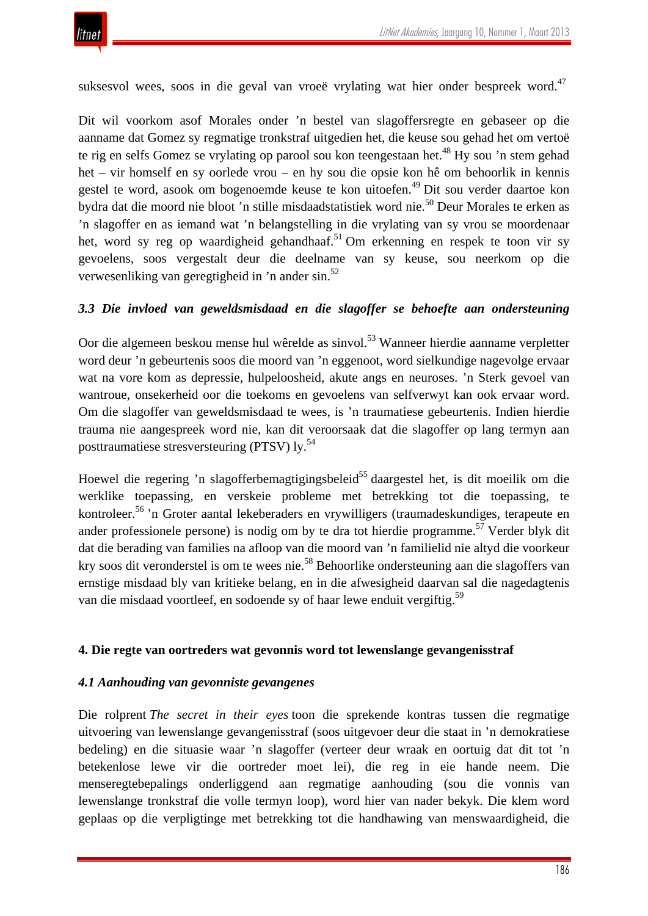

suksesvol wees, soos in die geval van vroeë vrylating wat hier onder bespreek word.<sup>47</sup>

Dit wil voorkom asof Morales onder 'n bestel van slagoffersregte en gebaseer op die aanname dat Gomez sy regmatige tronkstraf uitgedien het, die keuse sou gehad het om vertoë te rig en selfs Gomez se vrylating op parool sou kon teengestaan het.<sup>48</sup> Hy sou 'n stem gehad het – vir homself en sy oorlede vrou – en hy sou die opsie kon hê om behoorlik in kennis gestel te word, asook om bogenoemde keuse te kon uitoefen.<sup>49</sup> Dit sou verder daartoe kon bydra dat die moord nie bloot 'n stille misdaadstatistiek word nie.<sup>50</sup> Deur Morales te erken as 'n slagoffer en as iemand wat 'n belangstelling in die vrylating van sy vrou se moordenaar het, word sy reg op waardigheid gehandhaaf.<sup>51</sup> Om erkenning en respek te toon vir sy gevoelens, soos vergestalt deur die deelname van sy keuse, sou neerkom op die verwesenliking van geregtigheid in 'n ander sin.52

#### *3.3 Die invloed van geweldsmisdaad en die slagoffer se behoefte aan ondersteuning*

Oor die algemeen beskou mense hul wêrelde as sinvol.<sup>53</sup> Wanneer hierdie aanname verpletter word deur 'n gebeurtenis soos die moord van 'n eggenoot, word sielkundige nagevolge ervaar wat na vore kom as depressie, hulpeloosheid, akute angs en neuroses. 'n Sterk gevoel van wantroue, onsekerheid oor die toekoms en gevoelens van selfverwyt kan ook ervaar word. Om die slagoffer van geweldsmisdaad te wees, is 'n traumatiese gebeurtenis. Indien hierdie trauma nie aangespreek word nie, kan dit veroorsaak dat die slagoffer op lang termyn aan posttraumatiese stresversteuring (PTSV) ly.54

Hoewel die regering 'n slagofferbemagtigingsbeleid<sup>55</sup> daargestel het, is dit moeilik om die werklike toepassing, en verskeie probleme met betrekking tot die toepassing, te kontroleer.<sup>56</sup> 'n Groter aantal lekeberaders en vrywilligers (traumadeskundiges, terapeute en ander professionele persone) is nodig om by te dra tot hierdie programme.<sup>57</sup> Verder blyk dit dat die berading van families na afloop van die moord van 'n familielid nie altyd die voorkeur kry soos dit veronderstel is om te wees nie.<sup>58</sup> Behoorlike ondersteuning aan die slagoffers van ernstige misdaad bly van kritieke belang, en in die afwesigheid daarvan sal die nagedagtenis van die misdaad voortleef, en sodoende sy of haar lewe enduit vergiftig.<sup>59</sup>

#### **4. Die regte van oortreders wat gevonnis word tot lewenslange gevangenisstraf**

#### *4.1 Aanhouding van gevonniste gevangenes*

Die rolprent *The secret in their eyes* toon die sprekende kontras tussen die regmatige uitvoering van lewenslange gevangenisstraf (soos uitgevoer deur die staat in 'n demokratiese bedeling) en die situasie waar 'n slagoffer (verteer deur wraak en oortuig dat dit tot 'n betekenlose lewe vir die oortreder moet lei), die reg in eie hande neem. Die menseregtebepalings onderliggend aan regmatige aanhouding (sou die vonnis van lewenslange tronkstraf die volle termyn loop), word hier van nader bekyk. Die klem word geplaas op die verpligtinge met betrekking tot die handhawing van menswaardigheid, die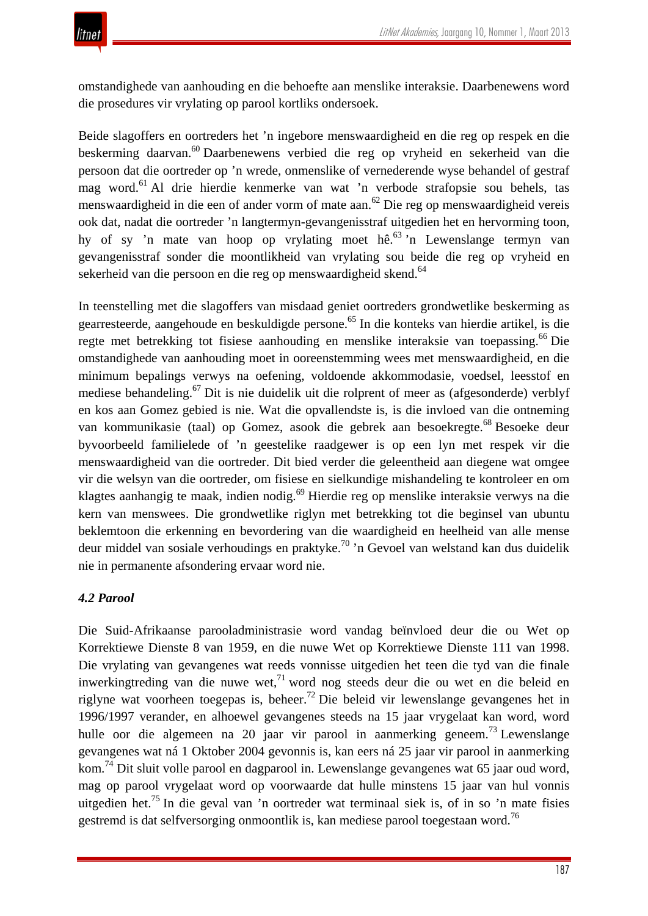omstandighede van aanhouding en die behoefte aan menslike interaksie. Daarbenewens word die prosedures vir vrylating op parool kortliks ondersoek.

Beide slagoffers en oortreders het 'n ingebore menswaardigheid en die reg op respek en die beskerming daarvan.60 Daarbenewens verbied die reg op vryheid en sekerheid van die persoon dat die oortreder op 'n wrede, onmenslike of vernederende wyse behandel of gestraf mag word.61 Al drie hierdie kenmerke van wat 'n verbode strafopsie sou behels, tas menswaardigheid in die een of ander vorm of mate aan.<sup>62</sup> Die reg op menswaardigheid vereis ook dat, nadat die oortreder 'n langtermyn-gevangenisstraf uitgedien het en hervorming toon, hy of sy 'n mate van hoop op vrylating moet hê.<sup>63</sup> 'n Lewenslange termyn van gevangenisstraf sonder die moontlikheid van vrylating sou beide die reg op vryheid en sekerheid van die persoon en die reg op menswaardigheid skend.<sup>64</sup>

In teenstelling met die slagoffers van misdaad geniet oortreders grondwetlike beskerming as gearresteerde, aangehoude en beskuldigde persone.65 In die konteks van hierdie artikel, is die regte met betrekking tot fisiese aanhouding en menslike interaksie van toepassing.<sup>66</sup> Die omstandighede van aanhouding moet in ooreenstemming wees met menswaardigheid, en die minimum bepalings verwys na oefening, voldoende akkommodasie, voedsel, leesstof en mediese behandeling.<sup>67</sup> Dit is nie duidelik uit die rolprent of meer as (afgesonderde) verblyf en kos aan Gomez gebied is nie. Wat die opvallendste is, is die invloed van die ontneming van kommunikasie (taal) op Gomez, asook die gebrek aan besoekregte.<sup>68</sup> Besoeke deur byvoorbeeld familielede of 'n geestelike raadgewer is op een lyn met respek vir die menswaardigheid van die oortreder. Dit bied verder die geleentheid aan diegene wat omgee vir die welsyn van die oortreder, om fisiese en sielkundige mishandeling te kontroleer en om klagtes aanhangig te maak, indien nodig.<sup>69</sup> Hierdie reg op menslike interaksie verwys na die kern van menswees. Die grondwetlike riglyn met betrekking tot die beginsel van ubuntu beklemtoon die erkenning en bevordering van die waardigheid en heelheid van alle mense deur middel van sosiale verhoudings en praktyke.<sup>70</sup> 'n Gevoel van welstand kan dus duidelik nie in permanente afsondering ervaar word nie.

# *4.2 Parool*

Die Suid-Afrikaanse parooladministrasie word vandag beïnvloed deur die ou Wet op Korrektiewe Dienste 8 van 1959, en die nuwe Wet op Korrektiewe Dienste 111 van 1998. Die vrylating van gevangenes wat reeds vonnisse uitgedien het teen die tyd van die finale inwerkingtreding van die nuwe wet,<sup>71</sup> word nog steeds deur die ou wet en die beleid en riglyne wat voorheen toegepas is, beheer.<sup>72</sup> Die beleid vir lewenslange gevangenes het in 1996/1997 verander, en alhoewel gevangenes steeds na 15 jaar vrygelaat kan word, word hulle oor die algemeen na 20 jaar vir parool in aanmerking geneem.<sup>73</sup> Lewenslange gevangenes wat ná 1 Oktober 2004 gevonnis is, kan eers ná 25 jaar vir parool in aanmerking kom.74 Dit sluit volle parool en dagparool in. Lewenslange gevangenes wat 65 jaar oud word, mag op parool vrygelaat word op voorwaarde dat hulle minstens 15 jaar van hul vonnis uitgedien het.<sup>75</sup> In die geval van 'n oortreder wat terminaal siek is, of in so 'n mate fisies gestremd is dat selfversorging onmoontlik is, kan mediese parool toegestaan word.76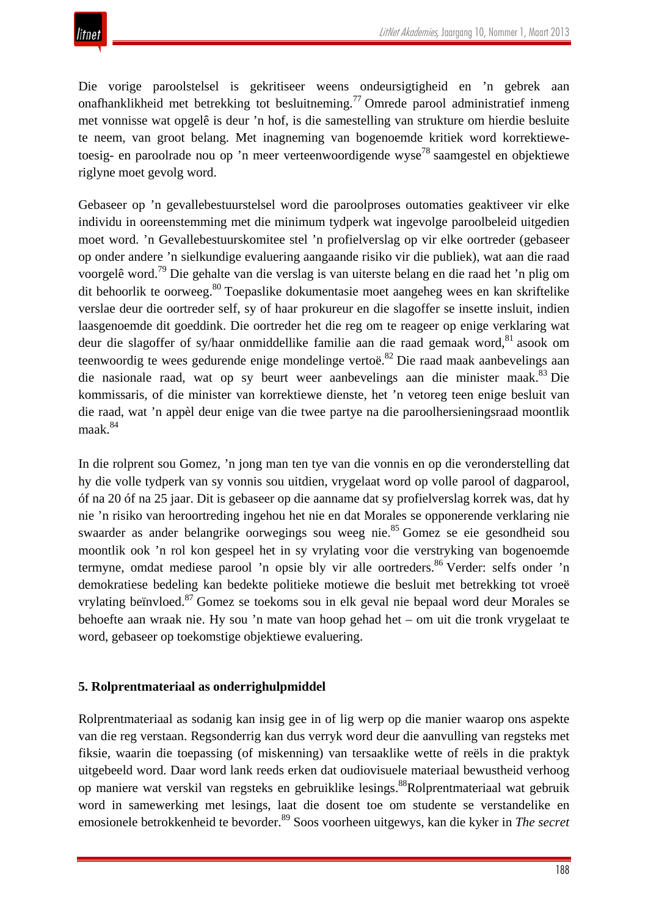Die vorige paroolstelsel is gekritiseer weens ondeursigtigheid en 'n gebrek aan onafhanklikheid met betrekking tot besluitneming.77 Omrede parool administratief inmeng met vonnisse wat opgelê is deur 'n hof, is die samestelling van strukture om hierdie besluite te neem, van groot belang. Met inagneming van bogenoemde kritiek word korrektiewetoesig- en paroolrade nou op 'n meer verteenwoordigende wyse<sup>78</sup> saamgestel en objektiewe riglyne moet gevolg word.

Gebaseer op 'n gevallebestuurstelsel word die paroolproses outomaties geaktiveer vir elke individu in ooreenstemming met die minimum tydperk wat ingevolge paroolbeleid uitgedien moet word. 'n Gevallebestuurskomitee stel 'n profielverslag op vir elke oortreder (gebaseer op onder andere 'n sielkundige evaluering aangaande risiko vir die publiek), wat aan die raad voorgelê word.79 Die gehalte van die verslag is van uiterste belang en die raad het 'n plig om dit behoorlik te oorweeg.<sup>80</sup> Toepaslike dokumentasie moet aangeheg wees en kan skriftelike verslae deur die oortreder self, sy of haar prokureur en die slagoffer se insette insluit, indien laasgenoemde dit goeddink. Die oortreder het die reg om te reageer op enige verklaring wat deur die slagoffer of sy/haar onmiddellike familie aan die raad gemaak word, <sup>81</sup> asook om teenwoordig te wees gedurende enige mondelinge vertoë.<sup>82</sup> Die raad maak aanbevelings aan die nasionale raad, wat op sy beurt weer aanbevelings aan die minister maak.<sup>83</sup> Die kommissaris, of die minister van korrektiewe dienste, het 'n vetoreg teen enige besluit van die raad, wat 'n appèl deur enige van die twee partye na die paroolhersieningsraad moontlik maak.<sup>84</sup>

In die rolprent sou Gomez, 'n jong man ten tye van die vonnis en op die veronderstelling dat hy die volle tydperk van sy vonnis sou uitdien, vrygelaat word op volle parool of dagparool, óf na 20 óf na 25 jaar. Dit is gebaseer op die aanname dat sy profielverslag korrek was, dat hy nie 'n risiko van heroortreding ingehou het nie en dat Morales se opponerende verklaring nie swaarder as ander belangrike oorwegings sou weeg nie.85 Gomez se eie gesondheid sou moontlik ook 'n rol kon gespeel het in sy vrylating voor die verstryking van bogenoemde termyne, omdat mediese parool 'n opsie bly vir alle oortreders.<sup>86</sup> Verder: selfs onder 'n demokratiese bedeling kan bedekte politieke motiewe die besluit met betrekking tot vroeë vrylating beïnvloed.<sup>87</sup> Gomez se toekoms sou in elk geval nie bepaal word deur Morales se behoefte aan wraak nie. Hy sou 'n mate van hoop gehad het – om uit die tronk vrygelaat te word, gebaseer op toekomstige objektiewe evaluering.

## **5. Rolprentmateriaal as onderrighulpmiddel**

Rolprentmateriaal as sodanig kan insig gee in of lig werp op die manier waarop ons aspekte van die reg verstaan. Regsonderrig kan dus verryk word deur die aanvulling van regsteks met fiksie, waarin die toepassing (of miskenning) van tersaaklike wette of reëls in die praktyk uitgebeeld word. Daar word lank reeds erken dat oudiovisuele materiaal bewustheid verhoog op maniere wat verskil van regsteks en gebruiklike lesings.88Rolprentmateriaal wat gebruik word in samewerking met lesings, laat die dosent toe om studente se verstandelike en emosionele betrokkenheid te bevorder.89 Soos voorheen uitgewys, kan die kyker in *The secret*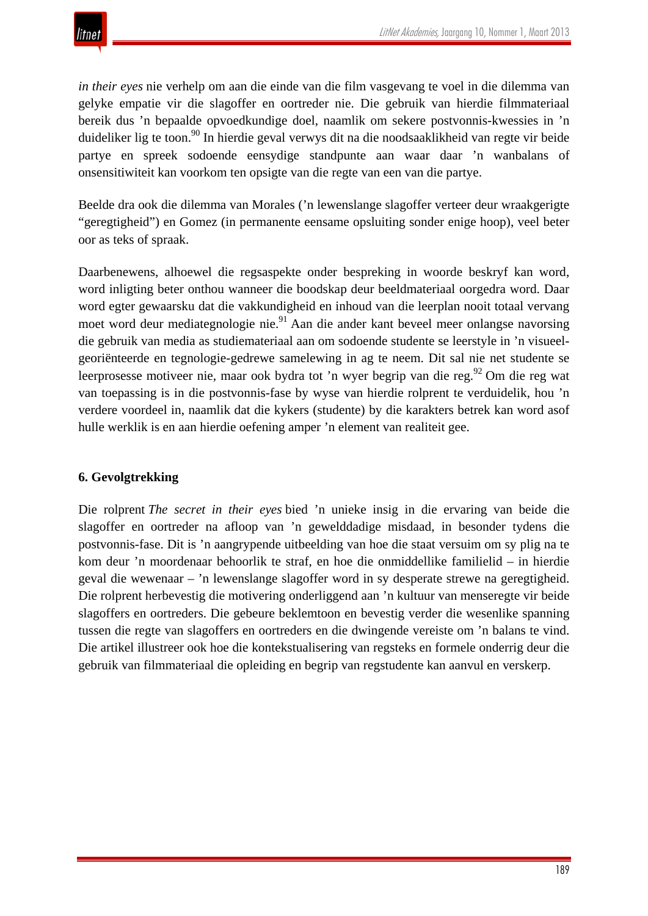

*in their eyes* nie verhelp om aan die einde van die film vasgevang te voel in die dilemma van gelyke empatie vir die slagoffer en oortreder nie. Die gebruik van hierdie filmmateriaal bereik dus 'n bepaalde opvoedkundige doel, naamlik om sekere postvonnis-kwessies in 'n duideliker lig te toon.<sup>90</sup> In hierdie geval verwys dit na die noodsaaklikheid van regte vir beide partye en spreek sodoende eensydige standpunte aan waar daar 'n wanbalans of onsensitiwiteit kan voorkom ten opsigte van die regte van een van die partye.

Beelde dra ook die dilemma van Morales ('n lewenslange slagoffer verteer deur wraakgerigte "geregtigheid") en Gomez (in permanente eensame opsluiting sonder enige hoop), veel beter oor as teks of spraak.

Daarbenewens, alhoewel die regsaspekte onder bespreking in woorde beskryf kan word, word inligting beter onthou wanneer die boodskap deur beeldmateriaal oorgedra word. Daar word egter gewaarsku dat die vakkundigheid en inhoud van die leerplan nooit totaal vervang moet word deur mediategnologie nie.<sup>91</sup> Aan die ander kant beveel meer onlangse navorsing die gebruik van media as studiemateriaal aan om sodoende studente se leerstyle in 'n visueelgeoriënteerde en tegnologie-gedrewe samelewing in ag te neem. Dit sal nie net studente se leerprosesse motiveer nie, maar ook bydra tot 'n wyer begrip van die reg.<sup>92</sup> Om die reg wat van toepassing is in die postvonnis-fase by wyse van hierdie rolprent te verduidelik, hou 'n verdere voordeel in, naamlik dat die kykers (studente) by die karakters betrek kan word asof hulle werklik is en aan hierdie oefening amper 'n element van realiteit gee.

## **6. Gevolgtrekking**

Die rolprent *The secret in their eyes* bied 'n unieke insig in die ervaring van beide die slagoffer en oortreder na afloop van 'n gewelddadige misdaad, in besonder tydens die postvonnis-fase. Dit is 'n aangrypende uitbeelding van hoe die staat versuim om sy plig na te kom deur 'n moordenaar behoorlik te straf, en hoe die onmiddellike familielid – in hierdie geval die wewenaar – 'n lewenslange slagoffer word in sy desperate strewe na geregtigheid. Die rolprent herbevestig die motivering onderliggend aan 'n kultuur van menseregte vir beide slagoffers en oortreders. Die gebeure beklemtoon en bevestig verder die wesenlike spanning tussen die regte van slagoffers en oortreders en die dwingende vereiste om 'n balans te vind. Die artikel illustreer ook hoe die kontekstualisering van regsteks en formele onderrig deur die gebruik van filmmateriaal die opleiding en begrip van regstudente kan aanvul en verskerp.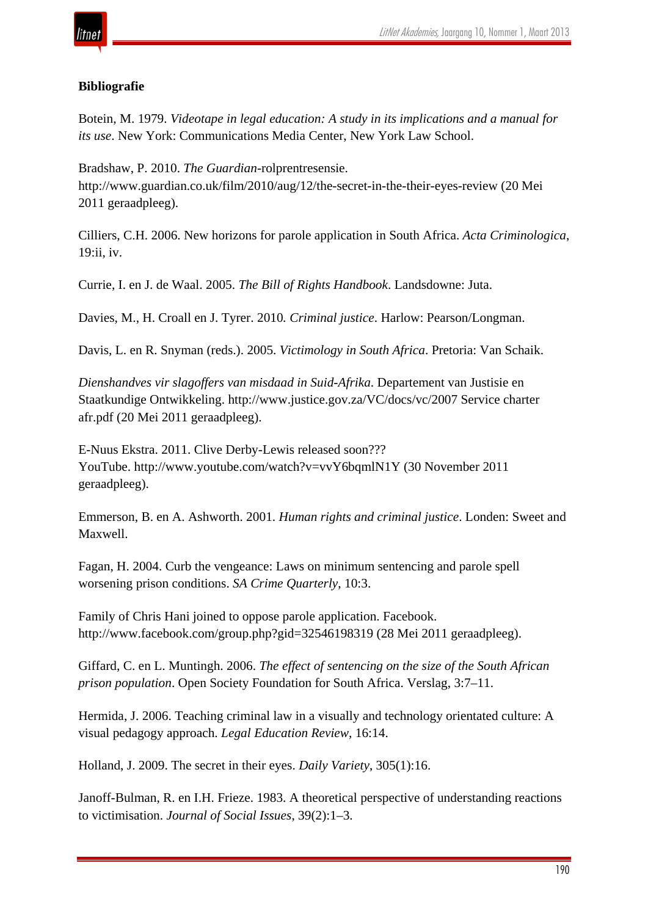

## **Bibliografie**

Botein, M. 1979. *Videotape in legal education: A study in its implications and a manual for its use*. New York: Communications Media Center, New York Law School.

Bradshaw, P. 2010. *The Guardian*-rolprentresensie. http://www.guardian.co.uk/film/2010/aug/12/the-secret-in-the-their-eyes-review (20 Mei 2011 geraadpleeg).

Cilliers, C.H. 2006. New horizons for parole application in South Africa. *Acta Criminologica*, 19:ii, iv.

Currie, I. en J. de Waal. 2005. *The Bill of Rights Handbook*. Landsdowne: Juta.

Davies, M., H. Croall en J. Tyrer. 2010*. Criminal justice*. Harlow: Pearson/Longman.

Davis, L. en R. Snyman (reds.). 2005. *Victimology in South Africa*. Pretoria: Van Schaik.

*Dienshandves vir slagoffers van misdaad in Suid-Afrika*. Departement van Justisie en Staatkundige Ontwikkeling. http://www.justice.gov.za/VC/docs/vc/2007 Service charter afr.pdf (20 Mei 2011 geraadpleeg).

E-Nuus Ekstra. 2011. Clive Derby-Lewis released soon??? YouTube. http://www.youtube.com/watch?v=vvY6bqmlN1Y (30 November 2011 geraadpleeg).

Emmerson, B. en A. Ashworth. 2001. *Human rights and criminal justice*. Londen: Sweet and Maxwell.

Fagan, H. 2004. Curb the vengeance: Laws on minimum sentencing and parole spell worsening prison conditions. *SA Crime Quarterly*, 10:3.

Family of Chris Hani joined to oppose parole application. Facebook. http://www.facebook.com/group.php?gid=32546198319 (28 Mei 2011 geraadpleeg).

Giffard, C. en L. Muntingh. 2006. *The effect of sentencing on the size of the South African prison population*. Open Society Foundation for South Africa. Verslag, 3:7–11.

Hermida, J. 2006. Teaching criminal law in a visually and technology orientated culture: A visual pedagogy approach. *Legal Education Review*, 16:14.

Holland, J. 2009. The secret in their eyes. *Daily Variety*, 305(1):16.

Janoff-Bulman, R. en I.H. Frieze. 1983. A theoretical perspective of understanding reactions to victimisation. *Journal of Social Issues*, 39(2):1–3.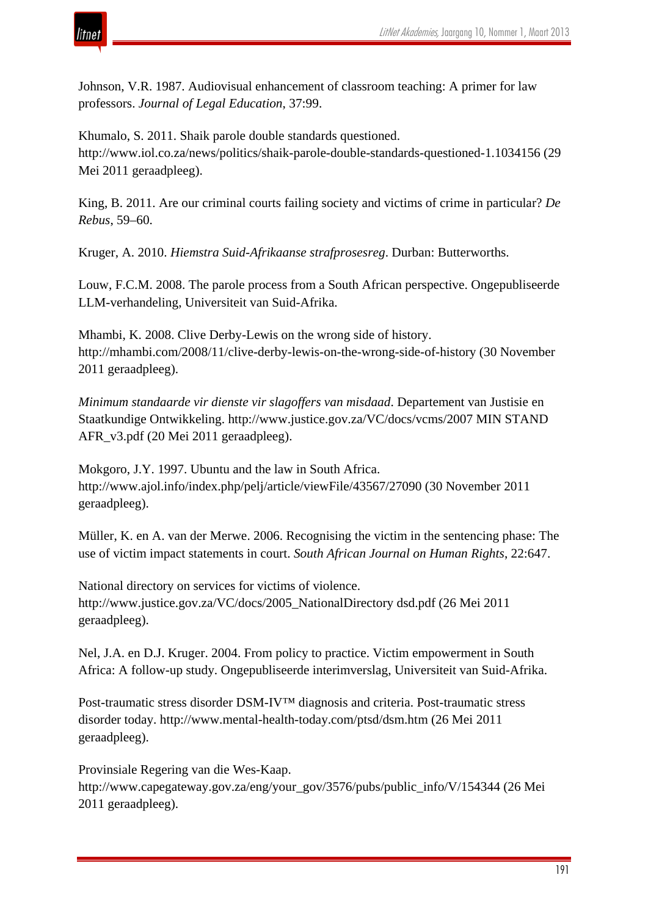

Johnson, V.R. 1987. Audiovisual enhancement of classroom teaching: A primer for law professors. *Journal of Legal Education*, 37:99.

Khumalo, S. 2011. Shaik parole double standards questioned. http://www.iol.co.za/news/politics/shaik-parole-double-standards-questioned-1.1034156 (29 Mei 2011 geraadpleeg).

King, B. 2011. Are our criminal courts failing society and victims of crime in particular? *De Rebus*, 59–60.

Kruger, A. 2010. *Hiemstra Suid-Afrikaanse strafprosesreg*. Durban: Butterworths.

Louw, F.C.M. 2008. The parole process from a South African perspective. Ongepubliseerde LLM-verhandeling, Universiteit van Suid-Afrika.

Mhambi, K. 2008. Clive Derby-Lewis on the wrong side of history. http://mhambi.com/2008/11/clive-derby-lewis-on-the-wrong-side-of-history (30 November 2011 geraadpleeg).

*Minimum standaarde vir dienste vir slagoffers van misdaad*. Departement van Justisie en Staatkundige Ontwikkeling. http://www.justice.gov.za/VC/docs/vcms/2007 MIN STAND AFR\_v3.pdf (20 Mei 2011 geraadpleeg).

Mokgoro, J.Y. 1997. Ubuntu and the law in South Africa. http://www.ajol.info/index.php/pelj/article/viewFile/43567/27090 (30 November 2011 geraadpleeg).

Müller, K. en A. van der Merwe. 2006. Recognising the victim in the sentencing phase: The use of victim impact statements in court. *South African Journal on Human Rights*, 22:647.

National directory on services for victims of violence. http://www.justice.gov.za/VC/docs/2005\_NationalDirectory dsd.pdf (26 Mei 2011 geraadpleeg).

Nel, J.A. en D.J. Kruger. 2004. From policy to practice. Victim empowerment in South Africa: A follow-up study. Ongepubliseerde interimverslag, Universiteit van Suid-Afrika.

Post-traumatic stress disorder DSM-IV™ diagnosis and criteria. Post-traumatic stress disorder today. http://www.mental-health-today.com/ptsd/dsm.htm (26 Mei 2011 geraadpleeg).

Provinsiale Regering van die Wes-Kaap. http://www.capegateway.gov.za/eng/your\_gov/3576/pubs/public\_info/V/154344 (26 Mei 2011 geraadpleeg).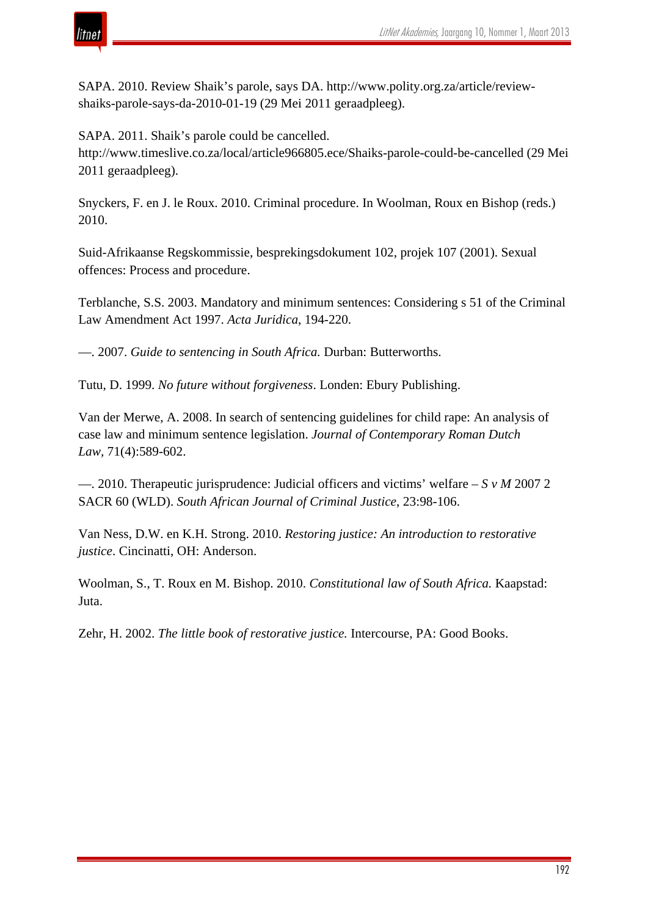

SAPA. 2010. Review Shaik's parole, says DA. http://www.polity.org.za/article/reviewshaiks-parole-says-da-2010-01-19 (29 Mei 2011 geraadpleeg).

SAPA. 2011. Shaik's parole could be cancelled.

http://www.timeslive.co.za/local/article966805.ece/Shaiks-parole-could-be-cancelled (29 Mei 2011 geraadpleeg).

Snyckers, F. en J. le Roux. 2010. Criminal procedure. In Woolman, Roux en Bishop (reds.) 2010.

Suid-Afrikaanse Regskommissie, besprekingsdokument 102, projek 107 (2001). Sexual offences: Process and procedure.

Terblanche, S.S. 2003. Mandatory and minimum sentences: Considering s 51 of the Criminal Law Amendment Act 1997. *Acta Juridica*, 194-220.

—. 2007. *Guide to sentencing in South Africa.* Durban: Butterworths.

Tutu, D. 1999. *No future without forgiveness*. Londen: Ebury Publishing.

Van der Merwe, A. 2008. In search of sentencing guidelines for child rape: An analysis of case law and minimum sentence legislation. *Journal of Contemporary Roman Dutch Law,* 71(4):589-602.

—. 2010. Therapeutic jurisprudence: Judicial officers and victims' welfare – *S v M* 2007 2 SACR 60 (WLD). *South African Journal of Criminal Justice*, 23:98-106.

Van Ness, D.W. en K.H. Strong. 2010. *Restoring justice: An introduction to restorative justice*. Cincinatti, OH: Anderson.

Woolman, S., T. Roux en M. Bishop. 2010. *Constitutional law of South Africa.* Kaapstad: Juta.

Zehr, H. 2002. *The little book of restorative justice.* Intercourse, PA: Good Books.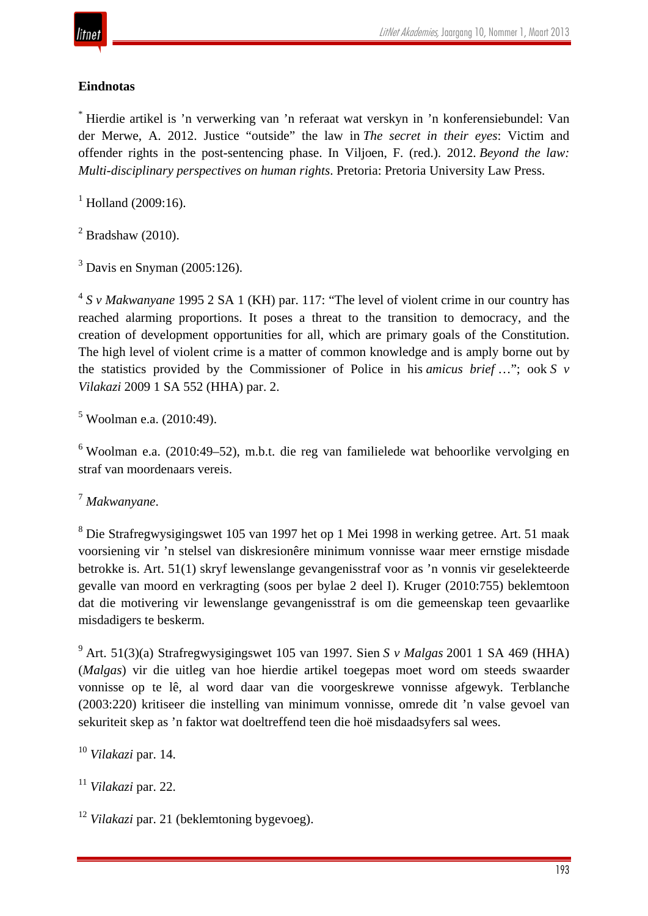# **Eindnotas**

\* Hierdie artikel is 'n verwerking van 'n referaat wat verskyn in 'n konferensiebundel: Van der Merwe, A. 2012. Justice "outside" the law in *The secret in their eyes*: Victim and offender rights in the post-sentencing phase. In Viljoen, F. (red.). 2012. *Beyond the law: Multi-disciplinary perspectives on human rights*. Pretoria: Pretoria University Law Press.

 $^{1}$  Holland (2009:16).

 $2$  Bradshaw (2010).

 $3$  Davis en Snyman (2005:126).

<sup>4</sup> *S v Makwanyane* 1995 2 SA 1 (KH) par. 117: "The level of violent crime in our country has reached alarming proportions. It poses a threat to the transition to democracy, and the creation of development opportunities for all, which are primary goals of the Constitution. The high level of violent crime is a matter of common knowledge and is amply borne out by the statistics provided by the Commissioner of Police in his *amicus brief* …"; ook *S v Vilakazi* 2009 1 SA 552 (HHA) par. 2.

<sup>5</sup> Woolman e.a. (2010:49).

<sup>6</sup> Woolman e.a. (2010:49–52), m.b.t. die reg van familielede wat behoorlike vervolging en straf van moordenaars vereis.

<sup>7</sup> *Makwanyane*.

<sup>8</sup> Die Strafregwysigingswet 105 van 1997 het op 1 Mei 1998 in werking getree. Art. 51 maak voorsiening vir 'n stelsel van diskresionêre minimum vonnisse waar meer ernstige misdade betrokke is. Art. 51(1) skryf lewenslange gevangenisstraf voor as 'n vonnis vir geselekteerde gevalle van moord en verkragting (soos per bylae 2 deel I). Kruger (2010:755) beklemtoon dat die motivering vir lewenslange gevangenisstraf is om die gemeenskap teen gevaarlike misdadigers te beskerm.

<sup>9</sup> Art. 51(3)(a) Strafregwysigingswet 105 van 1997. Sien *S v Malgas* 2001 1 SA 469 (HHA) (*Malgas*) vir die uitleg van hoe hierdie artikel toegepas moet word om steeds swaarder vonnisse op te lê, al word daar van die voorgeskrewe vonnisse afgewyk. Terblanche (2003:220) kritiseer die instelling van minimum vonnisse, omrede dit 'n valse gevoel van sekuriteit skep as 'n faktor wat doeltreffend teen die hoë misdaadsyfers sal wees.

<sup>10</sup> *Vilakazi* par. 14.

<sup>11</sup> *Vilakazi* par. 22.

<sup>12</sup> *Vilakazi* par. 21 (beklemtoning bygevoeg).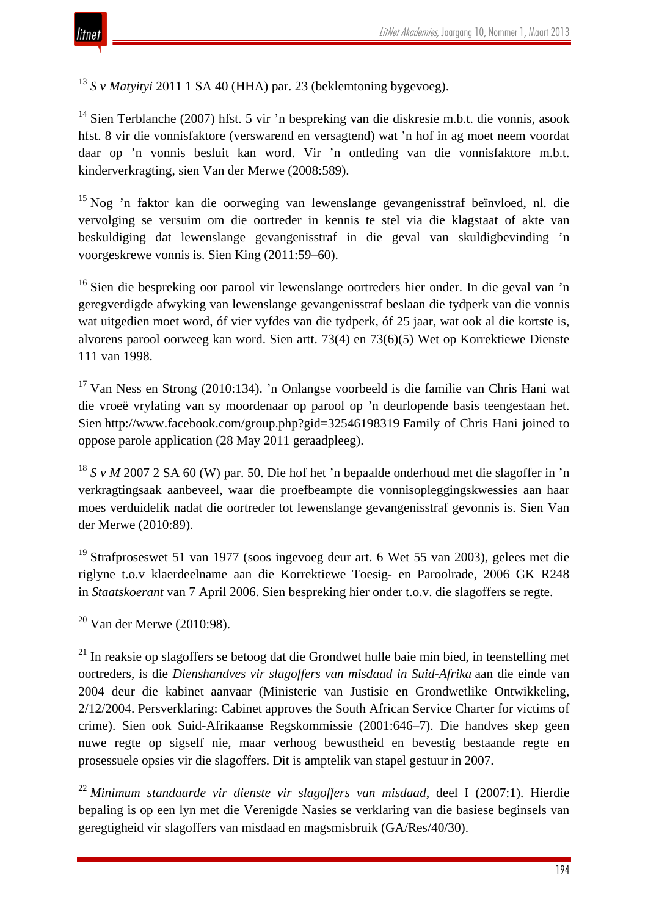<sup>13</sup> *S v Matyityi* 2011 1 SA 40 (HHA) par. 23 (beklemtoning bygevoeg).

<sup>14</sup> Sien Terblanche (2007) hfst. 5 vir 'n bespreking van die diskresie m.b.t. die vonnis, asook hfst. 8 vir die vonnisfaktore (verswarend en versagtend) wat 'n hof in ag moet neem voordat daar op 'n vonnis besluit kan word. Vir 'n ontleding van die vonnisfaktore m.b.t. kinderverkragting, sien Van der Merwe (2008:589).

<sup>15</sup> Nog 'n faktor kan die oorweging van lewenslange gevangenisstraf beïnvloed, nl. die vervolging se versuim om die oortreder in kennis te stel via die klagstaat of akte van beskuldiging dat lewenslange gevangenisstraf in die geval van skuldigbevinding 'n voorgeskrewe vonnis is. Sien King (2011:59–60).

<sup>16</sup> Sien die bespreking oor parool vir lewenslange oortreders hier onder. In die geval van 'n geregverdigde afwyking van lewenslange gevangenisstraf beslaan die tydperk van die vonnis wat uitgedien moet word, óf vier vyfdes van die tydperk, óf 25 jaar, wat ook al die kortste is, alvorens parool oorweeg kan word. Sien artt. 73(4) en 73(6)(5) Wet op Korrektiewe Dienste 111 van 1998.

<sup>17</sup> Van Ness en Strong (2010:134). 'n Onlangse voorbeeld is die familie van Chris Hani wat die vroeë vrylating van sy moordenaar op parool op 'n deurlopende basis teengestaan het. Sien http://www.facebook.com/group.php?gid=32546198319 Family of Chris Hani joined to oppose parole application (28 May 2011 geraadpleeg).

<sup>18</sup> *S v M* 2007 2 SA 60 (W) par. 50. Die hof het 'n bepaalde onderhoud met die slagoffer in 'n verkragtingsaak aanbeveel, waar die proefbeampte die vonnisopleggingskwessies aan haar moes verduidelik nadat die oortreder tot lewenslange gevangenisstraf gevonnis is. Sien Van der Merwe (2010:89).

 $19$  Strafproseswet 51 van 1977 (soos ingevoeg deur art. 6 Wet 55 van 2003), gelees met die riglyne t.o.v klaerdeelname aan die Korrektiewe Toesig- en Paroolrade, 2006 GK R248 in *Staatskoerant* van 7 April 2006. Sien bespreking hier onder t.o.v. die slagoffers se regte.

 $20$  Van der Merwe (2010:98).

 $21$  In reaksie op slagoffers se betoog dat die Grondwet hulle baie min bied, in teenstelling met oortreders, is die *Dienshandves vir slagoffers van misdaad in Suid-Afrika* aan die einde van 2004 deur die kabinet aanvaar (Ministerie van Justisie en Grondwetlike Ontwikkeling, 2/12/2004. Persverklaring: Cabinet approves the South African Service Charter for victims of crime). Sien ook Suid-Afrikaanse Regskommissie (2001:646–7). Die handves skep geen nuwe regte op sigself nie, maar verhoog bewustheid en bevestig bestaande regte en prosessuele opsies vir die slagoffers. Dit is amptelik van stapel gestuur in 2007.

<sup>22</sup> *Minimum standaarde vir dienste vir slagoffers van misdaad*, deel I (2007:1). Hierdie bepaling is op een lyn met die Verenigde Nasies se verklaring van die basiese beginsels van geregtigheid vir slagoffers van misdaad en magsmisbruik (GA/Res/40/30).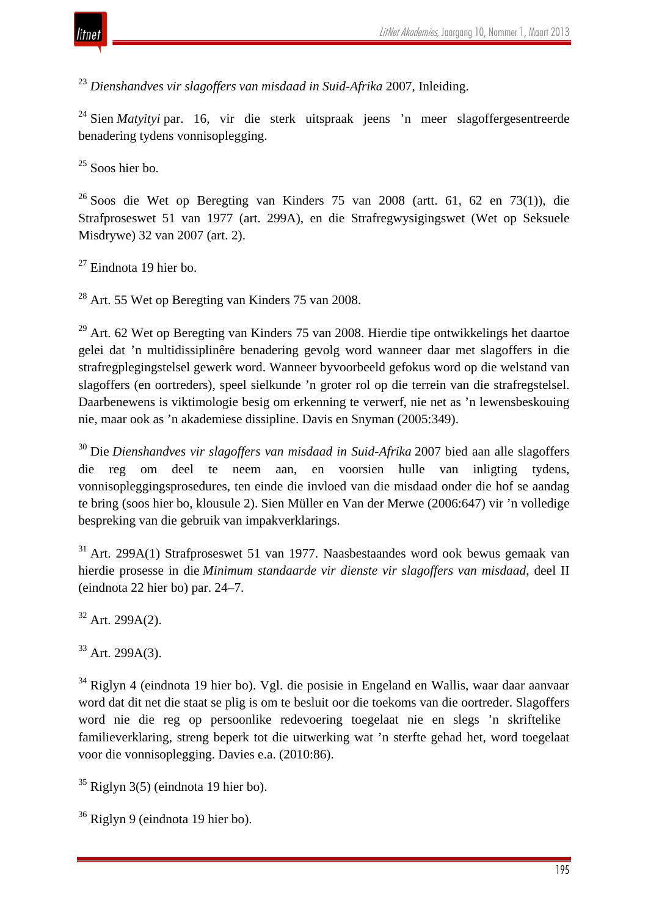

<sup>23</sup> *Dienshandves vir slagoffers van misdaad in Suid-Afrika* 2007, Inleiding.

<sup>24</sup> Sien *Matyityi* par. 16, vir die sterk uitspraak jeens 'n meer slagoffergesentreerde benadering tydens vonnisoplegging.

 $25$  Soos hier bo.

 $^{26}$  Soos die Wet op Beregting van Kinders 75 van 2008 (artt. 61, 62 en 73(1)), die Strafproseswet 51 van 1977 (art. 299A), en die Strafregwysigingswet (Wet op Seksuele Misdrywe) 32 van 2007 (art. 2).

 $27$  Eindnota 19 hier bo.

<sup>28</sup> Art. 55 Wet op Beregting van Kinders 75 van 2008.

 $^{29}$  Art. 62 Wet op Beregting van Kinders 75 van 2008. Hierdie tipe ontwikkelings het daartoe gelei dat 'n multidissiplinêre benadering gevolg word wanneer daar met slagoffers in die strafregplegingstelsel gewerk word. Wanneer byvoorbeeld gefokus word op die welstand van slagoffers (en oortreders), speel sielkunde 'n groter rol op die terrein van die strafregstelsel. Daarbenewens is viktimologie besig om erkenning te verwerf, nie net as 'n lewensbeskouing nie, maar ook as 'n akademiese dissipline. Davis en Snyman (2005:349).

<sup>30</sup> Die *Dienshandves vir slagoffers van misdaad in Suid-Afrika* 2007 bied aan alle slagoffers die reg om deel te neem aan, en voorsien hulle van inligting tydens, vonnisopleggingsprosedures, ten einde die invloed van die misdaad onder die hof se aandag te bring (soos hier bo, klousule 2). Sien Müller en Van der Merwe (2006:647) vir 'n volledige bespreking van die gebruik van impakverklarings.

<sup>31</sup> Art. 299A(1) Strafproseswet 51 van 1977. Naasbestaandes word ook bewus gemaak van hierdie prosesse in die *Minimum standaarde vir dienste vir slagoffers van misdaad*, deel II (eindnota 22 hier bo) par. 24–7.

 $32$  Art. 299A(2).

 $33$  Art. 299A(3).

<sup>34</sup> Riglyn 4 (eindnota 19 hier bo). Vgl. die posisie in Engeland en Wallis, waar daar aanvaar word dat dit net die staat se plig is om te besluit oor die toekoms van die oortreder. Slagoffers word nie die reg op persoonlike redevoering toegelaat nie en slegs 'n skriftelike familieverklaring, streng beperk tot die uitwerking wat 'n sterfte gehad het, word toegelaat voor die vonnisoplegging. Davies e.a. (2010:86).

 $35$  Riglyn 3(5) (eindnota 19 hier bo).

<sup>36</sup> Riglyn 9 (eindnota 19 hier bo).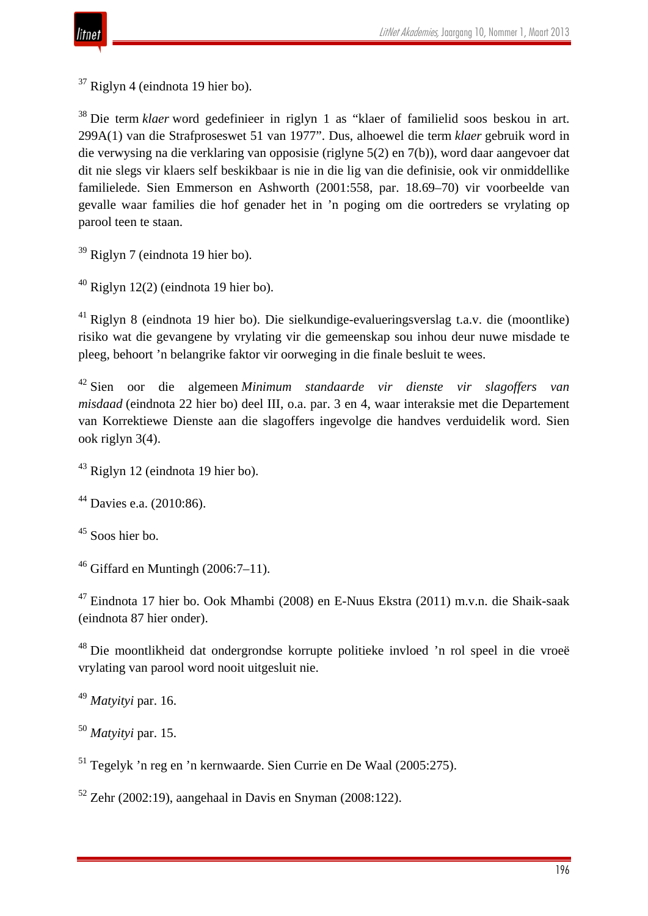$37$  Riglyn 4 (eindnota 19 hier bo).

<sup>38</sup> Die term *klaer* word gedefinieer in riglyn 1 as "klaer of familielid soos beskou in art. 299A(1) van die Strafproseswet 51 van 1977". Dus, alhoewel die term *klaer* gebruik word in die verwysing na die verklaring van opposisie (riglyne 5(2) en 7(b)), word daar aangevoer dat dit nie slegs vir klaers self beskikbaar is nie in die lig van die definisie, ook vir onmiddellike familielede. Sien Emmerson en Ashworth (2001:558, par. 18.69–70) vir voorbeelde van gevalle waar families die hof genader het in 'n poging om die oortreders se vrylating op parool teen te staan.

<sup>39</sup> Riglyn 7 (eindnota 19 hier bo).

 $40$  Riglyn 12(2) (eindnota 19 hier bo).

<sup>41</sup> Riglyn 8 (eindnota 19 hier bo). Die sielkundige-evalueringsverslag t.a.v. die (moontlike) risiko wat die gevangene by vrylating vir die gemeenskap sou inhou deur nuwe misdade te pleeg, behoort 'n belangrike faktor vir oorweging in die finale besluit te wees.

<sup>42</sup> Sien oor die algemeen *Minimum standaarde vir dienste vir slagoffers van misdaad* (eindnota 22 hier bo) deel III, o.a. par. 3 en 4, waar interaksie met die Departement van Korrektiewe Dienste aan die slagoffers ingevolge die handves verduidelik word. Sien ook riglyn 3(4).

<sup>43</sup> Riglyn 12 (eindnota 19 hier bo).

<sup>44</sup> Davies e.a. (2010:86).

<sup>45</sup> Soos hier bo.

 $46$  Giffard en Muntingh (2006:7–11).

<sup>47</sup> Eindnota 17 hier bo. Ook Mhambi (2008) en E-Nuus Ekstra (2011) m.v.n. die Shaik-saak (eindnota 87 hier onder).

<sup>48</sup> Die moontlikheid dat ondergrondse korrupte politieke invloed 'n rol speel in die vroeë vrylating van parool word nooit uitgesluit nie.

<sup>49</sup> *Matyityi* par. 16.

<sup>50</sup> *Matyityi* par. 15.

<sup>51</sup> Tegelyk 'n reg en 'n kernwaarde. Sien Currie en De Waal (2005:275).

 $52$  Zehr (2002:19), aangehaal in Davis en Snyman (2008:122).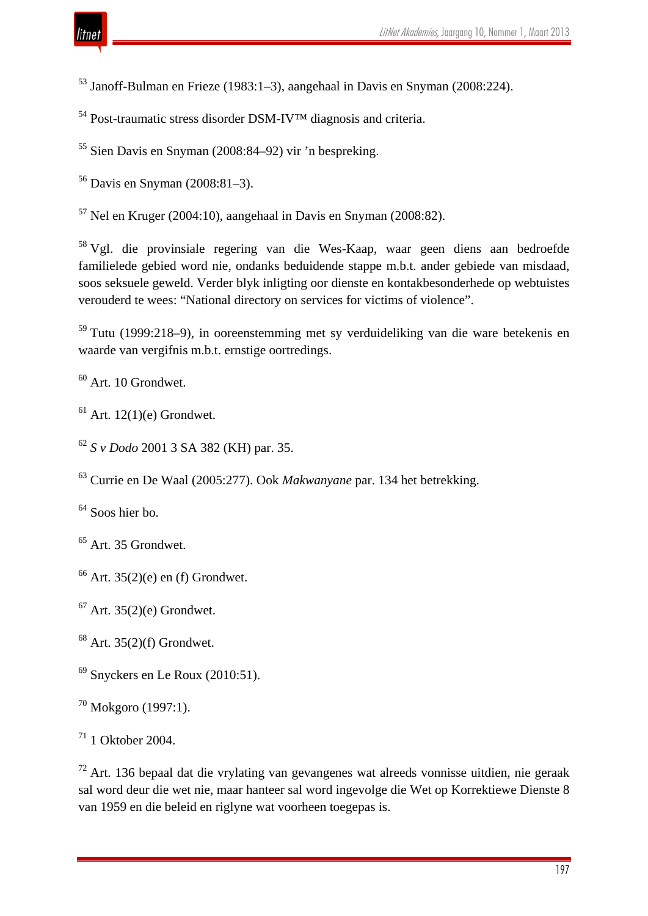Janoff-Bulman en Frieze (1983:1–3), aangehaal in Davis en Snyman (2008:224).

Post-traumatic stress disorder DSM-IV™ diagnosis and criteria.

Sien Davis en Snyman (2008:84–92) vir 'n bespreking.

Davis en Snyman (2008:81–3).

Nel en Kruger (2004:10), aangehaal in Davis en Snyman (2008:82).

 Vgl. die provinsiale regering van die Wes-Kaap, waar geen diens aan bedroefde familielede gebied word nie, ondanks beduidende stappe m.b.t. ander gebiede van misdaad, soos seksuele geweld. Verder blyk inligting oor dienste en kontakbesonderhede op webtuistes verouderd te wees: "National directory on services for victims of violence".

 Tutu (1999:218–9), in ooreenstemming met sy verduideliking van die ware betekenis en waarde van vergifnis m.b.t. ernstige oortredings.

Art. 10 Grondwet.

Art. 12(1)(e) Grondwet.

*S v Dodo* 2001 3 SA 382 (KH) par. 35.

Currie en De Waal (2005:277). Ook *Makwanyane* par. 134 het betrekking.

Soos hier bo.

<sup>65</sup> Art. 35 Grondwet.

Art. 35(2)(e) en (f) Grondwet.

Art. 35(2)(e) Grondwet.

Art. 35(2)(f) Grondwet.

Snyckers en Le Roux (2010:51).

Mokgoro (1997:1).

1 Oktober 2004.

 Art. 136 bepaal dat die vrylating van gevangenes wat alreeds vonnisse uitdien, nie geraak sal word deur die wet nie, maar hanteer sal word ingevolge die Wet op Korrektiewe Dienste 8 van 1959 en die beleid en riglyne wat voorheen toegepas is.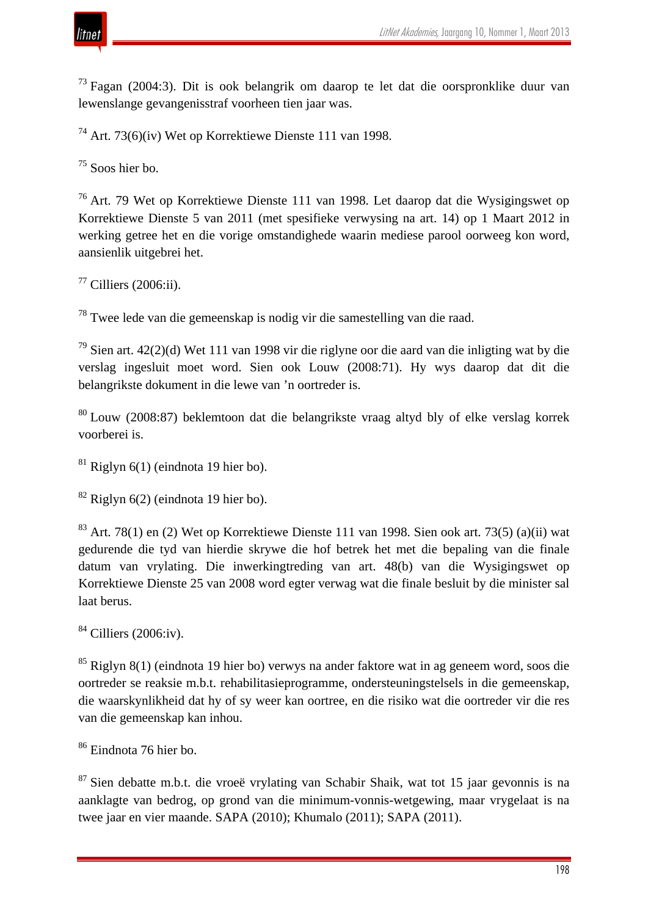

 $^{73}$  Fagan (2004:3). Dit is ook belangrik om daarop te let dat die oorspronklike duur van lewenslange gevangenisstraf voorheen tien jaar was.

<sup>74</sup> Art. 73(6)(iv) Wet op Korrektiewe Dienste 111 van 1998.

 $75$  Soos hier bo.

<sup>76</sup> Art. 79 Wet op Korrektiewe Dienste 111 van 1998. Let daarop dat die Wysigingswet op Korrektiewe Dienste 5 van 2011 (met spesifieke verwysing na art. 14) op 1 Maart 2012 in werking getree het en die vorige omstandighede waarin mediese parool oorweeg kon word, aansienlik uitgebrei het.

 $77$  Cilliers (2006:ii).

<sup>78</sup> Twee lede van die gemeenskap is nodig vir die samestelling van die raad.

<sup>79</sup> Sien art. 42(2)(d) Wet 111 van 1998 vir die riglyne oor die aard van die inligting wat by die verslag ingesluit moet word. Sien ook Louw (2008:71). Hy wys daarop dat dit die belangrikste dokument in die lewe van 'n oortreder is.

<sup>80</sup> Louw (2008:87) beklemtoon dat die belangrikste vraag altyd bly of elke verslag korrek voorberei is.

 $81$  Riglyn 6(1) (eindnota 19 hier bo).

 $82$  Riglyn 6(2) (eindnota 19 hier bo).

 $83$  Art. 78(1) en (2) Wet op Korrektiewe Dienste 111 van 1998. Sien ook art. 73(5) (a)(ii) wat gedurende die tyd van hierdie skrywe die hof betrek het met die bepaling van die finale datum van vrylating. Die inwerkingtreding van art. 48(b) van die Wysigingswet op Korrektiewe Dienste 25 van 2008 word egter verwag wat die finale besluit by die minister sal laat berus.

 $84$  Cilliers (2006:iv).

<sup>85</sup> Riglyn 8(1) (eindnota 19 hier bo) verwys na ander faktore wat in ag geneem word, soos die oortreder se reaksie m.b.t. rehabilitasieprogramme, ondersteuningstelsels in die gemeenskap, die waarskynlikheid dat hy of sy weer kan oortree, en die risiko wat die oortreder vir die res van die gemeenskap kan inhou.

<sup>86</sup> Eindnota 76 hier bo.

 $87$  Sien debatte m.b.t. die vroeë vrylating van Schabir Shaik, wat tot 15 jaar gevonnis is na aanklagte van bedrog, op grond van die minimum-vonnis-wetgewing, maar vrygelaat is na twee jaar en vier maande. SAPA (2010); Khumalo (2011); SAPA (2011).